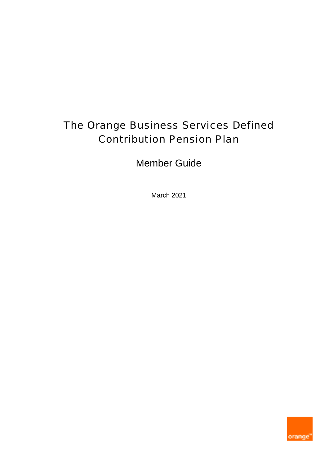# The Orange Business Services Defined Contribution Pension Plan

Member Guide

March 2021

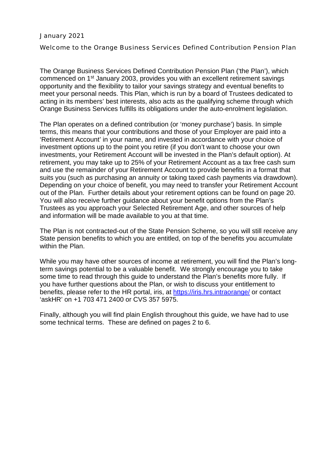#### January 2021

Welcome to the Orange Business Services Defined Contribution Pension Plan

The Orange Business Services Defined Contribution Pension Plan ('the Plan'), which commenced on 1st January 2003, provides you with an excellent retirement savings opportunity and the flexibility to tailor your savings strategy and eventual benefits to meet your personal needs. This Plan, which is run by a board of Trustees dedicated to acting in its members' best interests, also acts as the qualifying scheme through which Orange Business Services fulfills its obligations under the auto-enrolment legislation.

The Plan operates on a defined contribution (or 'money purchase') basis. In simple terms, this means that your contributions and those of your Employer are paid into a 'Retirement Account' in your name, and invested in accordance with your choice of investment options up to the point you retire (if you don't want to choose your own investments, your Retirement Account will be invested in the Plan's default option). At retirement, you may take up to 25% of your Retirement Account as a tax free cash sum and use the remainder of your Retirement Account to provide benefits in a format that suits you (such as purchasing an annuity or taking taxed cash payments via drawdown). Depending on your choice of benefit, you may need to transfer your Retirement Account out of the Plan. Further details about your retirement options can be found on page 20. You will also receive further guidance about your benefit options from the Plan's Trustees as you approach your Selected Retirement Age, and other sources of help and information will be made available to you at that time.

The Plan is not contracted-out of the State Pension Scheme, so you will still receive any State pension benefits to which you are entitled, on top of the benefits you accumulate within the Plan.

While you may have other sources of income at retirement, you will find the Plan's longterm savings potential to be a valuable benefit. We strongly encourage you to take some time to read through this guide to understand the Plan's benefits more fully. If you have further questions about the Plan, or wish to discuss your entitlement to benefits, please refer to the HR portal, iris, at https://iris.hrs.intraorange/ or contact 'askHR' on +1 703 471 2400 or CVS 357 5975.

Finally, although you will find plain English throughout this guide, we have had to use some technical terms. These are defined on pages 2 to 6.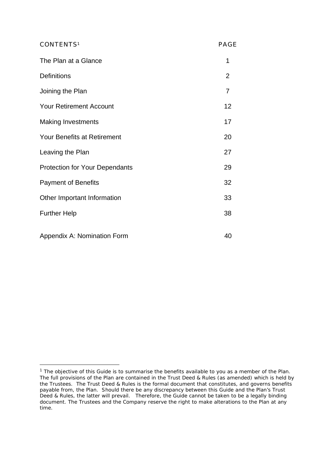| CONTENTS <sup>1</sup>                 | <b>PAGE</b>    |
|---------------------------------------|----------------|
| The Plan at a Glance                  | 1              |
| <b>Definitions</b>                    | $\overline{2}$ |
| Joining the Plan                      | $\overline{7}$ |
| <b>Your Retirement Account</b>        | 12             |
| <b>Making Investments</b>             | 17             |
| <b>Your Benefits at Retirement</b>    | 20             |
| Leaving the Plan                      | 27             |
| <b>Protection for Your Dependants</b> | 29             |
| <b>Payment of Benefits</b>            | 32             |
| Other Important Information           | 33             |
| <b>Further Help</b>                   | 38             |
| Appendix A: Nomination Form           | 40             |

<sup>1</sup> *The objective of this Guide is to summarise the benefits available to you as a member of the Plan. The full provisions of the Plan are contained in the Trust Deed & Rules (as amended) which is held by the Trustees. The Trust Deed & Rules is the formal document that constitutes, and governs benefits payable from, the Plan. Should there be any discrepancy between this Guide and the Plan's Trust Deed & Rules, the latter will prevail. Therefore, the Guide cannot be taken to be a legally binding document. The Trustees and the Company reserve the right to make alterations to the Plan at any time.*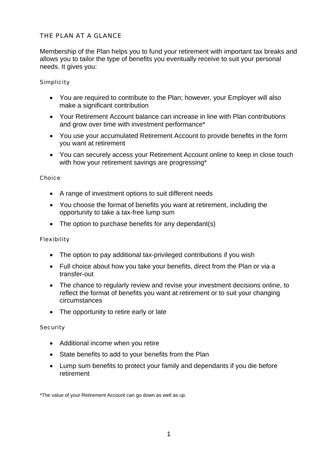# THE PLAN AT A GLANCE

Membership of the Plan helps you to fund your retirement with important tax breaks and allows you to tailor the type of benefits you eventually receive to suit your personal needs. It gives you:

#### Simplicity

- You are required to contribute to the Plan; however, your Employer will also make a significant contribution
- Your Retirement Account balance can increase in line with Plan contributions and grow over time with investment performance\*
- You use your accumulated Retirement Account to provide benefits in the form you want at retirement
- You can securely access your Retirement Account online to keep in close touch with how your retirement savings are progressing\*

#### Choice

- A range of investment options to suit different needs
- You choose the format of benefits you want at retirement, including the opportunity to take a tax-free lump sum
- The option to purchase benefits for any dependant(s)

#### Flexibility

- The option to pay additional tax-privileged contributions if you wish
- Full choice about how you take your benefits, direct from the Plan or via a transfer-out
- The chance to regularly review and revise your investment decisions online, to reflect the format of benefits you want at retirement or to suit your changing circumstances
- The opportunity to retire early or late

#### Security

- Additional income when you retire
- State benefits to add to your benefits from the Plan
- Lump sum benefits to protect your family and dependants if you die before retirement

<sup>\*</sup>The value of your Retirement Account can go down as well as up.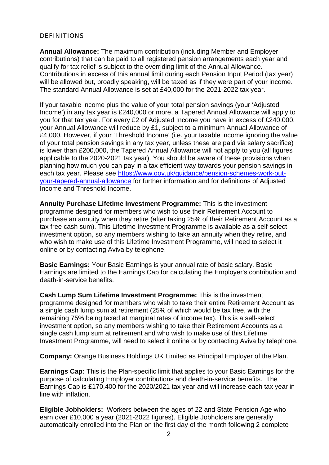#### DEFINITIONS

**Annual Allowance:** The maximum contribution (including Member and Employer contributions) that can be paid to all registered pension arrangements each year and qualify for tax relief is subject to the overriding limit of the Annual Allowance. Contributions in excess of this annual limit during each Pension Input Period (tax year) will be allowed but, broadly speaking, will be taxed as if they were part of your income. The standard Annual Allowance is set at £40,000 for the 2021-2022 tax year.

If your taxable income plus the value of your total pension savings (your 'Adjusted Income') in any tax year is £240,000 or more, a Tapered Annual Allowance will apply to you for that tax year. For every £2 of Adjusted Income you have in excess of £240,000, your Annual Allowance will reduce by £1, subject to a minimum Annual Allowance of £4,000. However, if your 'Threshold Income' (i.e. your taxable income ignoring the value of your total pension savings in any tax year, unless these are paid via salary sacrifice) is lower than £200,000, the Tapered Annual Allowance will not apply to you (all figures applicable to the 2020-2021 tax year). You should be aware of these provisions when planning how much you can pay in a tax efficient way towards your pension savings in each tax year. Please see https://www.gov.uk/guidance/pension-schemes-work-outyour-tapered-annual-allowance for further information and for definitions of Adjusted Income and Threshold Income.

**Annuity Purchase Lifetime Investment Programme:** This is the investment programme designed for members who wish to use their Retirement Account to purchase an annuity when they retire (after taking 25% of their Retirement Account as a tax free cash sum). This Lifetime Investment Programme is available as a self-select investment option, so any members wishing to take an annuity when they retire, and who wish to make use of this Lifetime Investment Programme, will need to select it online or by contacting Aviva by telephone.

**Basic Earnings:** Your Basic Earnings is your annual rate of basic salary. Basic Earnings are limited to the Earnings Cap for calculating the Employer's contribution and death-in-service benefits.

**Cash Lump Sum Lifetime Investment Programme:** This is the investment programme designed for members who wish to take their entire Retirement Account as a single cash lump sum at retirement (25% of which would be tax free, with the remaining 75% being taxed at marginal rates of income tax). This is a self-select investment option, so any members wishing to take their Retirement Accounts as a single cash lump sum at retirement and who wish to make use of this Lifetime Investment Programme, will need to select it online or by contacting Aviva by telephone.

**Company:** Orange Business Holdings UK Limited as Principal Employer of the Plan.

**Earnings Cap:** This is the Plan-specific limit that applies to your Basic Earnings for the purpose of calculating Employer contributions and death-in-service benefits. The Earnings Cap is £170,400 for the 2020/2021 tax year and will increase each tax year in line with inflation.

**Eligible Jobholders:** Workers between the ages of 22 and State Pension Age who earn over £10,000 a year (2021-2022 figures). Eligible Jobholders are generally automatically enrolled into the Plan on the first day of the month following 2 complete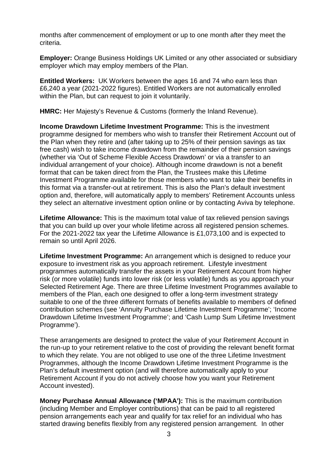months after commencement of employment or up to one month after they meet the criteria.

**Employer:** Orange Business Holdings UK Limited or any other associated or subsidiary employer which may employ members of the Plan.

**Entitled Workers:** UK Workers between the ages 16 and 74 who earn less than £6,240 a year (2021-2022 figures). Entitled Workers are not automatically enrolled within the Plan, but can request to join it voluntarily.

**HMRC:** Her Majesty's Revenue & Customs (formerly the Inland Revenue).

**Income Drawdown Lifetime Investment Programme:** This is the investment programme designed for members who wish to transfer their Retirement Account out of the Plan when they retire and (after taking up to 25% of their pension savings as tax free cash) wish to take income drawdown from the remainder of their pension savings (whether via 'Out of Scheme Flexible Access Drawdown' or via a transfer to an individual arrangement of your choice). Although income drawdown is not a benefit format that can be taken direct from the Plan, the Trustees make this Lifetime Investment Programme available for those members who want to take their benefits in this format via a transfer-out at retirement. This is also the Plan's default investment option and, therefore, will automatically apply to members' Retirement Accounts unless they select an alternative investment option online or by contacting Aviva by telephone.

**Lifetime Allowance:** This is the maximum total value of tax relieved pension savings that you can build up over your whole lifetime across all registered pension schemes. For the 2021-2022 tax year the Lifetime Allowance is £1,073,100 and is expected to remain so until April 2026.

**Lifetime Investment Programme:** An arrangement which is designed to reduce your exposure to investment risk as you approach retirement. Lifestyle investment programmes automatically transfer the assets in your Retirement Account from higher risk (or more volatile) funds into lower risk (or less volatile) funds as you approach your Selected Retirement Age. There are three Lifetime Investment Programmes available to members of the Plan, each one designed to offer a long-term investment strategy suitable to one of the three different formats of benefits available to members of defined contribution schemes (see 'Annuity Purchase Lifetime Investment Programme'; 'Income Drawdown Lifetime Investment Programme'; and 'Cash Lump Sum Lifetime Investment Programme').

These arrangements are designed to protect the value of your Retirement Account in the run-up to your retirement relative to the cost of providing the relevant benefit format to which they relate. You are not obliged to use one of the three Lifetime Investment Programmes, although the Income Drawdown Lifetime Investment Programme is the Plan's default investment option (and will therefore automatically apply to your Retirement Account if you do not actively choose how you want your Retirement Account invested).

**Money Purchase Annual Allowance ('MPAA'):** This is the maximum contribution (including Member and Employer contributions) that can be paid to all registered pension arrangements each year and qualify for tax relief for an individual who has started drawing benefits flexibly from any registered pension arrangement. In other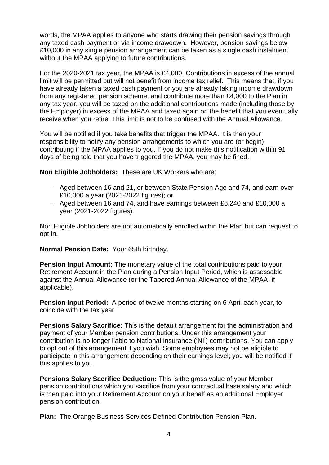words, the MPAA applies to anyone who starts drawing their pension savings through any taxed cash payment or via income drawdown. However, pension savings below £10,000 in any single pension arrangement can be taken as a single cash instalment without the MPAA applying to future contributions.

For the 2020-2021 tax year, the MPAA is £4,000. Contributions in excess of the annual limit will be permitted but will not benefit from income tax relief. This means that, if you have already taken a taxed cash payment or you are already taking income drawdown from any registered pension scheme, and contribute more than £4,000 to the Plan in any tax year, you will be taxed on the additional contributions made (including those by the Employer) in excess of the MPAA and taxed again on the benefit that you eventually receive when you retire. This limit is not to be confused with the Annual Allowance.

You will be notified if you take benefits that trigger the MPAA. It is then your responsibility to notify any pension arrangements to which you are (or begin) contributing if the MPAA applies to you. If you do not make this notification within 91 days of being told that you have triggered the MPAA, you may be fined.

**Non Eligible Jobholders:** These are UK Workers who are:

- Aged between 16 and 21, or between State Pension Age and 74, and earn over £10,000 a year (2021-2022 figures); or
- Aged between 16 and 74, and have earnings between £6,240 and £10,000 a year (2021-2022 figures).

Non Eligible Jobholders are not automatically enrolled within the Plan but can request to opt in.

**Normal Pension Date:** Your 65th birthday.

**Pension Input Amount:** The monetary value of the total contributions paid to your Retirement Account in the Plan during a Pension Input Period, which is assessable against the Annual Allowance (or the Tapered Annual Allowance of the MPAA, if applicable).

**Pension Input Period:** A period of twelve months starting on 6 April each year, to coincide with the tax year.

**Pensions Salary Sacrifice:** This is the default arrangement for the administration and payment of your Member pension contributions. Under this arrangement your contribution is no longer liable to National Insurance ('NI') contributions. You can apply to opt out of this arrangement if you wish. Some employees may not be eligible to participate in this arrangement depending on their earnings level; you will be notified if this applies to you.

**Pensions Salary Sacrifice Deduction:** This is the gross value of your Member pension contributions which you sacrifice from your contractual base salary and which is then paid into your Retirement Account on your behalf as an additional Employer pension contribution.

**Plan:** The Orange Business Services Defined Contribution Pension Plan.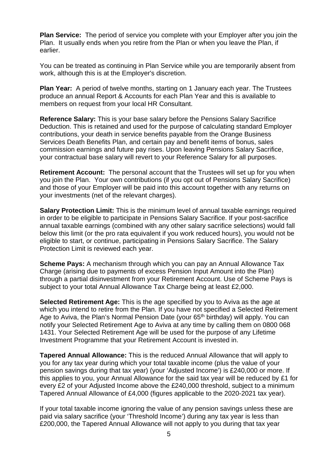**Plan Service:** The period of service you complete with your Employer after you join the Plan. It usually ends when you retire from the Plan or when you leave the Plan, if earlier.

You can be treated as continuing in Plan Service while you are temporarily absent from work, although this is at the Employer's discretion.

**Plan Year:** A period of twelve months, starting on 1 January each year. The Trustees produce an annual Report & Accounts for each Plan Year and this is available to members on request from your local HR Consultant.

**Reference Salary:** This is your base salary before the Pensions Salary Sacrifice Deduction. This is retained and used for the purpose of calculating standard Employer contributions, your death in service benefits payable from the Orange Business Services Death Benefits Plan, and certain pay and benefit items of bonus, sales commission earnings and future pay rises. Upon leaving Pensions Salary Sacrifice, your contractual base salary will revert to your Reference Salary for all purposes.

**Retirement Account:** The personal account that the Trustees will set up for you when you join the Plan. Your own contributions (if you opt out of Pensions Salary Sacrifice) and those of your Employer will be paid into this account together with any returns on your investments (net of the relevant charges).

**Salary Protection Limit:** This is the minimum level of annual taxable earnings required in order to be eligible to participate in Pensions Salary Sacrifice. If your post-sacrifice annual taxable earnings (combined with any other salary sacrifice selections) would fall below this limit (or the pro rata equivalent if you work reduced hours), you would not be eligible to start, or continue, participating in Pensions Salary Sacrifice. The Salary Protection Limit is reviewed each year.

**Scheme Pays:** A mechanism through which you can pay an Annual Allowance Tax Charge (arising due to payments of excess Pension Input Amount into the Plan) through a partial disinvestment from your Retirement Account. Use of Scheme Pays is subject to your total Annual Allowance Tax Charge being at least £2,000.

**Selected Retirement Age:** This is the age specified by you to Aviva as the age at which you intend to retire from the Plan. If you have not specified a Selected Retirement Age to Aviva, the Plan's Normal Pension Date (your 65<sup>th</sup> birthday) will apply. You can notify your Selected Retirement Age to Aviva at any time by calling them on 0800 068 1431. Your Selected Retirement Age will be used for the purpose of any Lifetime Investment Programme that your Retirement Account is invested in.

**Tapered Annual Allowance:** This is the reduced Annual Allowance that will apply to you for any tax year during which your total taxable income (plus the value of your pension savings during that tax year) (your 'Adjusted Income') is £240,000 or more. If this applies to you, your Annual Allowance for the said tax year will be reduced by £1 for every £2 of your Adjusted Income above the £240,000 threshold, subject to a minimum Tapered Annual Allowance of £4,000 (figures applicable to the 2020-2021 tax year).

If your total taxable income ignoring the value of any pension savings unless these are paid via salary sacrifice (your 'Threshold Income') during any tax year is less than £200,000, the Tapered Annual Allowance will not apply to you during that tax year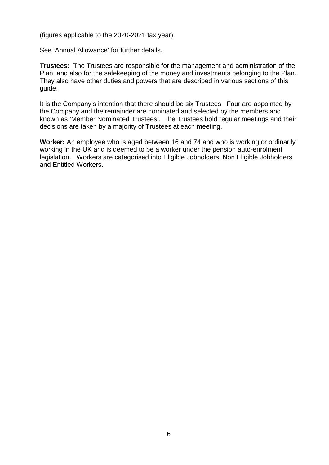(figures applicable to the 2020-2021 tax year).

See 'Annual Allowance' for further details.

**Trustees:** The Trustees are responsible for the management and administration of the Plan, and also for the safekeeping of the money and investments belonging to the Plan. They also have other duties and powers that are described in various sections of this guide.

It is the Company's intention that there should be six Trustees. Four are appointed by the Company and the remainder are nominated and selected by the members and known as 'Member Nominated Trustees'. The Trustees hold regular meetings and their decisions are taken by a majority of Trustees at each meeting.

**Worker:** An employee who is aged between 16 and 74 and who is working or ordinarily working in the UK and is deemed to be a worker under the pension auto-enrolment legislation. Workers are categorised into Eligible Jobholders, Non Eligible Jobholders and Entitled Workers.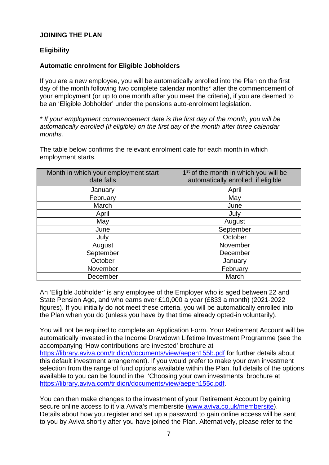# **JOINING THE PLAN**

# **Eligibility**

## **Automatic enrolment for Eligible Jobholders**

If you are a new employee, you will be automatically enrolled into the Plan on the first day of the month following two complete calendar months\* after the commencement of your employment (or up to one month after you meet the criteria), if you are deemed to be an 'Eligible Jobholder' under the pensions auto-enrolment legislation.

*\* If your employment commencement date is the first day of the month, you will be automatically enrolled (if eligible) on the first day of the month after three calendar months.*

The table below confirms the relevant enrolment date for each month in which employment starts.

| Month in which your employment start<br>date falls | 1 <sup>st</sup> of the month in which you will be<br>automatically enrolled, if eligible |
|----------------------------------------------------|------------------------------------------------------------------------------------------|
| January                                            | April                                                                                    |
| February                                           | May                                                                                      |
| March                                              | June                                                                                     |
| April                                              | July                                                                                     |
| May                                                | August                                                                                   |
| June                                               | September                                                                                |
| July                                               | October                                                                                  |
| August                                             | November                                                                                 |
| September                                          | December                                                                                 |
| October                                            | January                                                                                  |
| November                                           | February                                                                                 |
| December                                           | March                                                                                    |

An 'Eligible Jobholder' is any employee of the Employer who is aged between 22 and State Pension Age, and who earns over £10,000 a year (£833 a month) (2021-2022 figures). If you initially do not meet these criteria, you will be automatically enrolled into the Plan when you do (unless you have by that time already opted-in voluntarily).

You will not be required to complete an Application Form. Your Retirement Account will be automatically invested in the Income Drawdown Lifetime Investment Programme (see the accompanying 'How contributions are invested' brochure at https://library.aviva.com/tridion/documents/view/aepen155b.pdf for further details about this default investment arrangement). If you would prefer to make your own investment selection from the range of fund options available within the Plan, full details of the options available to you can be found in the 'Choosing your own investments' brochure at https://library.aviva.com/tridion/documents/view/aepen155c.pdf.

You can then make changes to the investment of your Retirement Account by gaining secure online access to it via Aviva's membersite (www.aviva.co.uk/membersite). Details about how you register and set up a password to gain online access will be sent to you by Aviva shortly after you have joined the Plan. Alternatively, please refer to the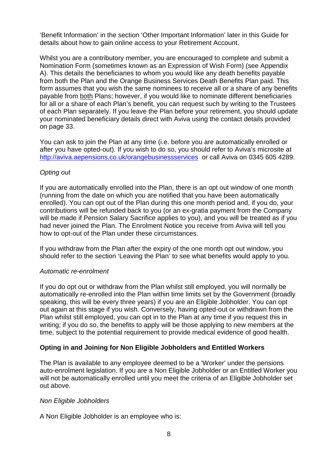'Benefit Information' in the section 'Other Important Information' later in this Guide for details about how to gain online access to your Retirement Account.

Whilst you are a contributory member, you are encouraged to complete and submit a Nomination Form (sometimes known as an Expression of Wish Form) (see Appendix A). This details the beneficiaries to whom you would like any death benefits payable from both the Plan and the Orange Business Services Death Benefits Plan paid. This form assumes that you wish the same nominees to receive all or a share of any benefits payable from both Plans; however, if you would like to nominate different beneficiaries for all or a share of each Plan's benefit, you can request such by writing to the Trustees of each Plan separately. If you leave the Plan before your retirement, you should update your nominated beneficiary details direct with Aviva using the contact details provided on page 33.

You can ask to join the Plan at any time (i.e. before you are automatically enrolled or after you have opted-out). If you wish to do so, you should refer to Aviva's microsite at http://aviva.aepensions.co.uk/orangebusinessservices or call Aviva on 0345 605 4289.

## *Opting out*

If you are automatically enrolled into the Plan, there is an opt out window of one month (running from the date on which you are notified that you have been automatically enrolled). You can opt out of the Plan during this one month period and, if you do, your contributions will be refunded back to you (or an ex-gratia payment from the Company will be made if Pension Salary Sacrifice applies to you), and you will be treated as if you had never joined the Plan. The Enrolment Notice you receive from Aviva will tell you how to opt-out of the Plan under these circumstances.

If you withdraw from the Plan after the expiry of the one month opt out window, you should refer to the section 'Leaving the Plan' to see what benefits would apply to you.

## *Automatic re-enrolment*

If you do opt out or withdraw from the Plan whilst still employed, you will normally be automatically re-enrolled into the Plan within time limits set by the Government (broadly speaking, this will be every three years) if you are an Eligible Jobholder. You can opt out again at this stage if you wish. Conversely, having opted-out or withdrawn from the Plan whilst still employed, you can opt in to the Plan at any time if you request this in writing; if you do so, the benefits to apply will be those applying to new members at the time, subject to the potential requirement to provide medical evidence of good health.

## **Opting in and Joining for Non Eligible Jobholders and Entitled Workers**

The Plan is available to any employee deemed to be a 'Worker' under the pensions auto-enrolment legislation. If you are a Non Eligible Jobholder or an Entitled Worker you will not be automatically enrolled until you meet the criteria of an Eligible Jobholder set out above.

## *Non Eligible Jobholders*

A Non Eligible Jobholder is an employee who is: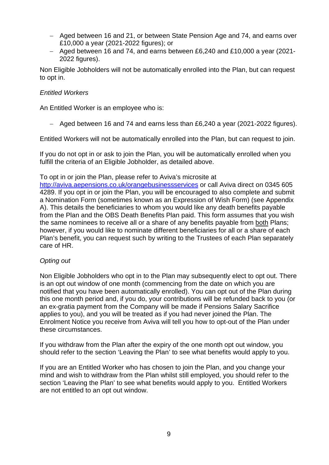- Aged between 16 and 21, or between State Pension Age and 74, and earns over £10,000 a year (2021-2022 figures); or
- Aged between 16 and 74, and earns between £6,240 and £10,000 a year (2021- 2022 figures).

Non Eligible Jobholders will not be automatically enrolled into the Plan, but can request to opt in.

## *Entitled Workers*

An Entitled Worker is an employee who is:

- Aged between 16 and 74 and earns less than £6,240 a year (2021-2022 figures).

Entitled Workers will not be automatically enrolled into the Plan, but can request to join.

If you do not opt in or ask to join the Plan, you will be automatically enrolled when you fulfill the criteria of an Eligible Jobholder, as detailed above.

#### To opt in or join the Plan, please refer to Aviva's microsite at

http://aviva.aepensions.co.uk/orangebusinessservices or call Aviva direct on 0345 605 4289. If you opt in or join the Plan, you will be encouraged to also complete and submit a Nomination Form (sometimes known as an Expression of Wish Form) (see Appendix A). This details the beneficiaries to whom you would like any death benefits payable from the Plan and the OBS Death Benefits Plan paid. This form assumes that you wish the same nominees to receive all or a share of any benefits payable from both Plans; however, if you would like to nominate different beneficiaries for all or a share of each Plan's benefit, you can request such by writing to the Trustees of each Plan separately care of HR.

## *Opting out*

Non Eligible Jobholders who opt in to the Plan may subsequently elect to opt out. There is an opt out window of one month (commencing from the date on which you are notified that you have been automatically enrolled). You can opt out of the Plan during this one month period and, if you do, your contributions will be refunded back to you (or an ex-gratia payment from the Company will be made if Pensions Salary Sacrifice applies to you), and you will be treated as if you had never joined the Plan. The Enrolment Notice you receive from Aviva will tell you how to opt-out of the Plan under these circumstances.

If you withdraw from the Plan after the expiry of the one month opt out window, you should refer to the section 'Leaving the Plan' to see what benefits would apply to you.

If you are an Entitled Worker who has chosen to join the Plan, and you change your mind and wish to withdraw from the Plan whilst still employed, you should refer to the section 'Leaving the Plan' to see what benefits would apply to you. Entitled Workers are not entitled to an opt out window.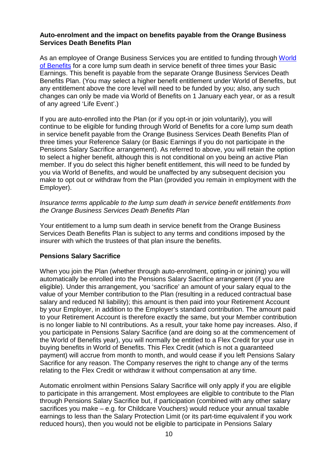## **Auto-enrolment and the impact on benefits payable from the Orange Business Services Death Benefits Plan**

As an employee of Orange Business Services you are entitled to funding through World of Benefits for a core lump sum death in service benefit of three times your Basic Earnings. This benefit is payable from the separate Orange Business Services Death Benefits Plan. (You may select a higher benefit entitlement under World of Benefits, but any entitlement above the core level will need to be funded by you; also, any such changes can only be made via World of Benefits on 1 January each year, or as a result of any agreed 'Life Event'.)

If you are auto-enrolled into the Plan (or if you opt-in or join voluntarily), you will continue to be eligible for funding through World of Benefits for a core lump sum death in service benefit payable from the Orange Business Services Death Benefits Plan of three times your Reference Salary (or Basic Earnings if you do not participate in the Pensions Salary Sacrifice arrangement). As referred to above, you will retain the option to select a higher benefit, although this is not conditional on you being an active Plan member. If you do select this higher benefit entitlement, this will need to be funded by you via World of Benefits, and would be unaffected by any subsequent decision you make to opt out or withdraw from the Plan (provided you remain in employment with the Employer).

## *Insurance terms applicable to the lump sum death in service benefit entitlements from the Orange Business Services Death Benefits Plan*

Your entitlement to a lump sum death in service benefit from the Orange Business Services Death Benefits Plan is subject to any terms and conditions imposed by the insurer with which the trustees of that plan insure the benefits.

# **Pensions Salary Sacrifice**

When you join the Plan (whether through auto-enrolment, opting-in or joining) you will automatically be enrolled into the Pensions Salary Sacrifice arrangement (if you are eligible). Under this arrangement, you 'sacrifice' an amount of your salary equal to the value of your Member contribution to the Plan (resulting in a reduced contractual base salary and reduced NI liability); this amount is then paid into your Retirement Account by your Employer, in addition to the Employer's standard contribution. The amount paid to your Retirement Account is therefore exactly the same, but your Member contribution is no longer liable to NI contributions. As a result, your take home pay increases. Also, if you participate in Pensions Salary Sacrifice (and are doing so at the commencement of the World of Benefits year), you will normally be entitled to a Flex Credit for your use in buying benefits in World of Benefits. This Flex Credit (which is not a guaranteed payment) will accrue from month to month, and would cease if you left Pensions Salary Sacrifice for any reason. The Company reserves the right to change any of the terms relating to the Flex Credit or withdraw it without compensation at any time.

Automatic enrolment within Pensions Salary Sacrifice will only apply if you are eligible to participate in this arrangement. Most employees are eligible to contribute to the Plan through Pensions Salary Sacrifice but, if participation (combined with any other salary sacrifices you make – e.g. for Childcare Vouchers) would reduce your annual taxable earnings to less than the Salary Protection Limit (or its part-time equivalent if you work reduced hours), then you would not be eligible to participate in Pensions Salary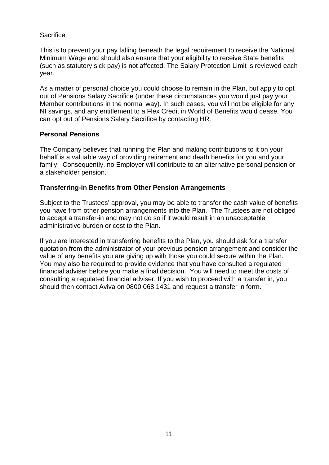Sacrifice.

This is to prevent your pay falling beneath the legal requirement to receive the National Minimum Wage and should also ensure that your eligibility to receive State benefits (such as statutory sick pay) is not affected. The Salary Protection Limit is reviewed each year.

As a matter of personal choice you could choose to remain in the Plan, but apply to opt out of Pensions Salary Sacrifice (under these circumstances you would just pay your Member contributions in the normal way). In such cases, you will not be eligible for any NI savings, and any entitlement to a Flex Credit in World of Benefits would cease. You can opt out of Pensions Salary Sacrifice by contacting HR.

## **Personal Pensions**

The Company believes that running the Plan and making contributions to it on your behalf is a valuable way of providing retirement and death benefits for you and your family. Consequently, no Employer will contribute to an alternative personal pension or a stakeholder pension.

## **Transferring-in Benefits from Other Pension Arrangements**

Subject to the Trustees' approval, you may be able to transfer the cash value of benefits you have from other pension arrangements into the Plan. The Trustees are not obliged to accept a transfer-in and may not do so if it would result in an unacceptable administrative burden or cost to the Plan.

If you are interested in transferring benefits to the Plan, you should ask for a transfer quotation from the administrator of your previous pension arrangement and consider the value of any benefits you are giving up with those you could secure within the Plan. You may also be required to provide evidence that you have consulted a regulated financial adviser before you make a final decision. You will need to meet the costs of consulting a regulated financial adviser. If you wish to proceed with a transfer in, you should then contact Aviva on 0800 068 1431 and request a transfer in form.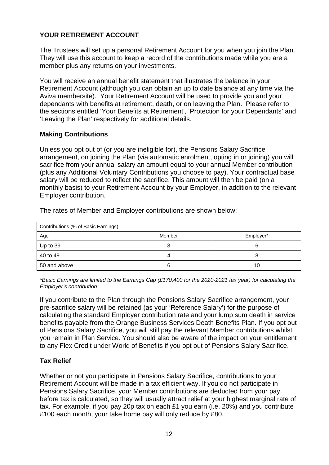# **YOUR RETIREMENT ACCOUNT**

The Trustees will set up a personal Retirement Account for you when you join the Plan. They will use this account to keep a record of the contributions made while you are a member plus any returns on your investments.

You will receive an annual benefit statement that illustrates the balance in your Retirement Account (although you can obtain an up to date balance at any time via the Aviva membersite). Your Retirement Account will be used to provide you and your dependants with benefits at retirement, death, or on leaving the Plan. Please refer to the sections entitled 'Your Benefits at Retirement', 'Protection for your Dependants' and 'Leaving the Plan' respectively for additional details.

# **Making Contributions**

Unless you opt out of (or you are ineligible for), the Pensions Salary Sacrifice arrangement, on joining the Plan (via automatic enrolment, opting in or joining) you will sacrifice from your annual salary an amount equal to your annual Member contribution (plus any Additional Voluntary Contributions you choose to pay). Your contractual base salary will be reduced to reflect the sacrifice. This amount will then be paid (on a monthly basis) to your Retirement Account by your Employer, in addition to the relevant Employer contribution.

| Contributions (% of Basic Earnings) |        |           |
|-------------------------------------|--------|-----------|
| Age                                 | Member | Employer* |
| Up to 39                            |        |           |
| 40 to 49                            |        | O         |
| 50 and above                        |        | 10        |

The rates of Member and Employer contributions are shown below:

*\*Basic Earnings are limited to the Earnings Cap (£170,400 for the 2020-2021 tax year) for calculating the Employer's contribution.*

If you contribute to the Plan through the Pensions Salary Sacrifice arrangement, your pre-sacrifice salary will be retained (as your 'Reference Salary') for the purpose of calculating the standard Employer contribution rate and your lump sum death in service benefits payable from the Orange Business Services Death Benefits Plan. If you opt out of Pensions Salary Sacrifice, you will still pay the relevant Member contributions whilst you remain in Plan Service. You should also be aware of the impact on your entitlement to any Flex Credit under World of Benefits if you opt out of Pensions Salary Sacrifice.

# **Tax Relief**

Whether or not you participate in Pensions Salary Sacrifice, contributions to your Retirement Account will be made in a tax efficient way. If you do not participate in Pensions Salary Sacrifice, your Member contributions are deducted from your pay before tax is calculated, so they will usually attract relief at your highest marginal rate of tax. For example, if you pay 20p tax on each £1 you earn (i.e. 20%) and you contribute £100 each month, your take home pay will only reduce by £80.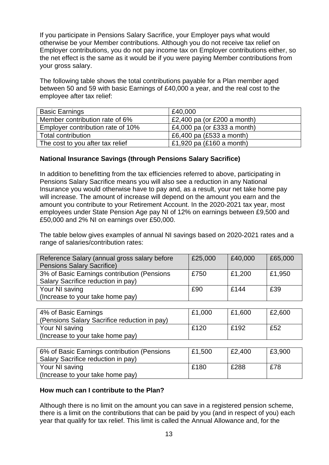If you participate in Pensions Salary Sacrifice, your Employer pays what would otherwise be your Member contributions. Although you do not receive tax relief on Employer contributions, you do not pay income tax on Employer contributions either, so the net effect is the same as it would be if you were paying Member contributions from your gross salary.

The following table shows the total contributions payable for a Plan member aged between 50 and 59 with basic Earnings of £40,000 a year, and the real cost to the employee after tax relief:

| <b>Basic Earnings</b>             | £40,000                     |
|-----------------------------------|-----------------------------|
| Member contribution rate of 6%    | £2,400 pa (or £200 a month) |
| Employer contribution rate of 10% | £4,000 pa (or £333 a month) |
| <b>Total contribution</b>         | £6,400 pa $(E533$ a month)  |
| The cost to you after tax relief  | £1,920 pa $(E160$ a month)  |

## **National Insurance Savings (through Pensions Salary Sacrifice)**

In addition to benefitting from the tax efficiencies referred to above, participating in Pensions Salary Sacrifice means you will also see a reduction in any National Insurance you would otherwise have to pay and, as a result, your net take home pay will increase. The amount of increase will depend on the amount you earn and the amount you contribute to your Retirement Account. In the 2020-2021 tax year, most employees under State Pension Age pay NI of 12% on earnings between £9,500 and £50,000 and 2% NI on earnings over £50,000.

The table below gives examples of annual NI savings based on 2020-2021 rates and a range of salaries/contribution rates:

| Reference Salary (annual gross salary before<br><b>Pensions Salary Sacrifice)</b> | £25,000 | £40,000 | £65,000 |
|-----------------------------------------------------------------------------------|---------|---------|---------|
| 3% of Basic Earnings contribution (Pensions<br>Salary Sacrifice reduction in pay) | £750    | £1,200  | £1,950  |
| Your NI saving<br>(Increase to your take home pay)                                | £90     | £144    | £39     |

| 4% of Basic Earnings                         | £1,000 | £1,600 | £2,600 |
|----------------------------------------------|--------|--------|--------|
| (Pensions Salary Sacrifice reduction in pay) |        |        |        |
| Your NI saving                               | £120   | £192   | £52    |
| (Increase to your take home pay)             |        |        |        |
|                                              |        |        |        |
|                                              |        |        |        |

| 6% of Basic Earnings contribution (Pensions | £1,500 | £2,400 | £3,900 |
|---------------------------------------------|--------|--------|--------|
| Salary Sacrifice reduction in pay)          |        |        |        |
| Your NI saving                              | £180   | £288   | £78    |
| (Increase to your take home pay)            |        |        |        |

## **How much can I contribute to the Plan?**

Although there is no limit on the amount you can save in a registered pension scheme, there is a limit on the contributions that can be paid by you (and in respect of you) each year that qualify for tax relief. This limit is called the Annual Allowance and, for the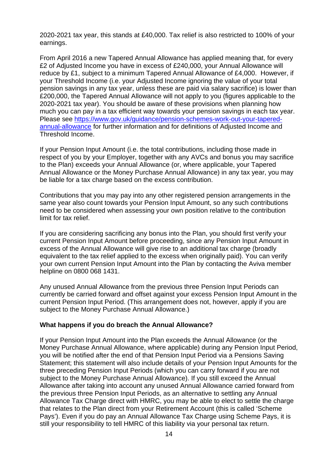2020-2021 tax year, this stands at £40,000. Tax relief is also restricted to 100% of your earnings.

From April 2016 a new Tapered Annual Allowance has applied meaning that, for every £2 of Adjusted Income you have in excess of £240,000, your Annual Allowance will reduce by £1, subject to a minimum Tapered Annual Allowance of £4,000. However, if your Threshold Income (i.e. your Adjusted Income ignoring the value of your total pension savings in any tax year, unless these are paid via salary sacrifice) is lower than £200,000, the Tapered Annual Allowance will not apply to you (figures applicable to the 2020-2021 tax year). You should be aware of these provisions when planning how much you can pay in a tax efficient way towards your pension savings in each tax year. Please see https://www.gov.uk/guidance/pension-schemes-work-out-your-taperedannual-allowance for further information and for definitions of Adjusted Income and Threshold Income.

If your Pension Input Amount (i.e. the total contributions, including those made in respect of you by your Employer, together with any AVCs and bonus you may sacrifice to the Plan) exceeds your Annual Allowance (or, where applicable, your Tapered Annual Allowance or the Money Purchase Annual Allowance) in any tax year, you may be liable for a tax charge based on the excess contribution.

Contributions that you may pay into any other registered pension arrangements in the same year also count towards your Pension Input Amount, so any such contributions need to be considered when assessing your own position relative to the contribution limit for tax relief.

If you are considering sacrificing any bonus into the Plan, you should first verify your current Pension Input Amount before proceeding, since any Pension Input Amount in excess of the Annual Allowance will give rise to an additional tax charge (broadly equivalent to the tax relief applied to the excess when originally paid). You can verify your own current Pension Input Amount into the Plan by contacting the Aviva member helpline on 0800 068 1431.

Any unused Annual Allowance from the previous three Pension Input Periods can currently be carried forward and offset against your excess Pension Input Amount in the current Pension Input Period. (This arrangement does not, however, apply if you are subject to the Money Purchase Annual Allowance.)

## **What happens if you do breach the Annual Allowance?**

If your Pension Input Amount into the Plan exceeds the Annual Allowance (or the Money Purchase Annual Allowance, where applicable) during any Pension Input Period, you will be notified after the end of that Pension Input Period via a Pensions Saving Statement; this statement will also include details of your Pension Input Amounts for the three preceding Pension Input Periods (which you can carry forward if you are not subject to the Money Purchase Annual Allowance). If you still exceed the Annual Allowance after taking into account any unused Annual Allowance carried forward from the previous three Pension Input Periods, as an alternative to settling any Annual Allowance Tax Charge direct with HMRC, you may be able to elect to settle the charge that relates to the Plan direct from your Retirement Account (this is called 'Scheme Pays'). Even if you do pay an Annual Allowance Tax Charge using Scheme Pays, it is still your responsibility to tell HMRC of this liability via your personal tax return.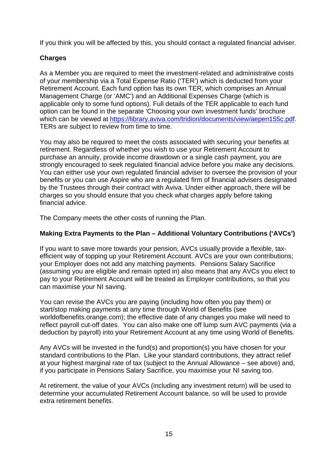If you think you will be affected by this, you should contact a regulated financial adviser.

# **Charges**

As a Member you are required to meet the investment-related and administrative costs of your membership via a Total Expense Ratio ('TER') which is deducted from your Retirement Account. Each fund option has its own TER, which comprises an Annual Management Charge (or 'AMC') and an Additional Expenses Charge (which is applicable only to some fund options). Full details of the TER applicable to each fund option can be found in the separate 'Choosing your own investment funds' brochure which can be viewed at https://library.aviva.com/tridion/documents/view/aepen155c.pdf. TERs are subject to review from time to time.

You may also be required to meet the costs associated with securing your benefits at retirement. Regardless of whether you wish to use your Retirement Account to purchase an annuity, provide income drawdown or a single cash payment, you are strongly encouraged to seek regulated financial advice before you make any decisions. You can either use your own regulated financial adviser to oversee the provision of your benefits or you can use Aspire who are a regulated firm of financial advisers designated by the Trustees through their contract with Aviva. Under either approach, there will be charges so you should ensure that you check what charges apply before taking financial advice.

The Company meets the other costs of running the Plan.

# **Making Extra Payments to the Plan – Additional Voluntary Contributions ('AVCs')**

If you want to save more towards your pension, AVCs usually provide a flexible, taxefficient way of topping up your Retirement Account. AVCs are your own contributions; your Employer does not add any matching payments. Pensions Salary Sacrifice (assuming you are eligible and remain opted in) also means that any AVCs you elect to pay to your Retirement Account will be treated as Employer contributions, so that you can maximise your NI saving.

You can revise the AVCs you are paying (including how often you pay them) or start/stop making payments at any time through World of Benefits (see worldofbenefits.orange.com); the effective date of any changes you make will need to reflect payroll cut-off dates. You can also make one off lump sum AVC payments (via a deduction by payroll) into your Retirement Account at any time using World of Benefits.

Any AVCs will be invested in the fund(s) and proportion(s) you have chosen for your standard contributions to the Plan. Like your standard contributions, they attract relief at your highest marginal rate of tax (subject to the Annual Allowance – see above) and, if you participate in Pensions Salary Sacrifice, you maximise your NI saving too.

At retirement, the value of your AVCs (including any investment return) will be used to determine your accumulated Retirement Account balance, so will be used to provide extra retirement benefits.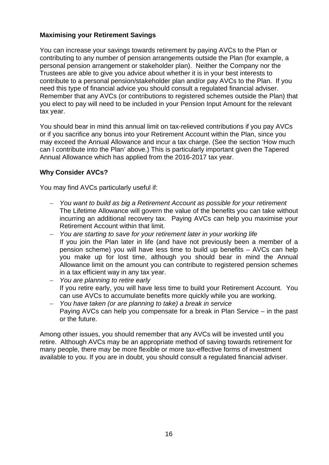# **Maximising your Retirement Savings**

You can increase your savings towards retirement by paying AVCs to the Plan or contributing to any number of pension arrangements outside the Plan (for example, a personal pension arrangement or stakeholder plan). Neither the Company nor the Trustees are able to give you advice about whether it is in your best interests to contribute to a personal pension/stakeholder plan and/or pay AVCs to the Plan. If you need this type of financial advice you should consult a regulated financial adviser. Remember that any AVCs (or contributions to registered schemes outside the Plan) that you elect to pay will need to be included in your Pension Input Amount for the relevant tax year.

You should bear in mind this annual limit on tax-relieved contributions if you pay AVCs or if you sacrifice any bonus into your Retirement Account within the Plan, since you may exceed the Annual Allowance and incur a tax charge. (See the section 'How much can I contribute into the Plan' above.) This is particularly important given the Tapered Annual Allowance which has applied from the 2016-2017 tax year.

# **Why Consider AVCs?**

You may find AVCs particularly useful if:

- *You want to build as big a Retirement Account as possible for your retirement* The Lifetime Allowance will govern the value of the benefits you can take without incurring an additional recovery tax. Paying AVCs can help you maximise your Retirement Account within that limit.
- *You are starting to save for your retirement later in your working life* If you join the Plan later in life (and have not previously been a member of a pension scheme) you will have less time to build up benefits – AVCs can help you make up for lost time, although you should bear in mind the Annual Allowance limit on the amount you can contribute to registered pension schemes in a tax efficient way in any tax year.
- *You are planning to retire early* If you retire early, you will have less time to build your Retirement Account. You can use AVCs to accumulate benefits more quickly while you are working.
- *You have taken (or are planning to take) a break in service* Paying AVCs can help you compensate for a break in Plan Service – in the past or the future.

Among other issues, you should remember that any AVCs will be invested until you retire. Although AVCs may be an appropriate method of saving towards retirement for many people, there may be more flexible or more tax-effective forms of investment available to you. If you are in doubt, you should consult a regulated financial adviser.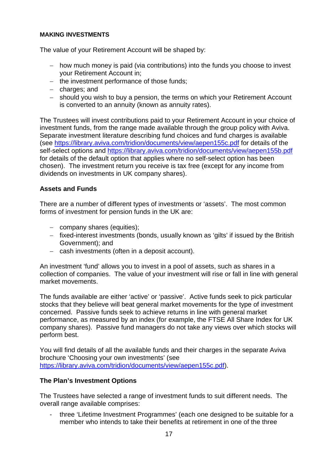#### **MAKING INVESTMENTS**

The value of your Retirement Account will be shaped by:

- how much money is paid (via contributions) into the funds you choose to invest your Retirement Account in;
- $-$  the investment performance of those funds;
- charges; and
- should you wish to buy a pension, the terms on which your Retirement Account is converted to an annuity (known as annuity rates).

The Trustees will invest contributions paid to your Retirement Account in your choice of investment funds, from the range made available through the group policy with Aviva. Separate investment literature describing fund choices and fund charges is available (see https://library.aviva.com/tridion/documents/view/aepen155c.pdf for details of the self-select options and https://library.aviva.com/tridion/documents/view/aepen155b.pdf for details of the default option that applies where no self-select option has been chosen). The investment return you receive is tax free (except for any income from dividends on investments in UK company shares).

# **Assets and Funds**

There are a number of different types of investments or 'assets'. The most common forms of investment for pension funds in the UK are:

- company shares (equities);
- fixed-interest investments (bonds, usually known as 'gilts' if issued by the British Government); and
- cash investments (often in a deposit account).

An investment 'fund' allows you to invest in a pool of assets, such as shares in a collection of companies. The value of your investment will rise or fall in line with general market movements.

The funds available are either 'active' or 'passive'. Active funds seek to pick particular stocks that they believe will beat general market movements for the type of investment concerned. Passive funds seek to achieve returns in line with general market performance, as measured by an index (for example, the FTSE All Share Index for UK company shares). Passive fund managers do not take any views over which stocks will perform best.

You will find details of all the available funds and their charges in the separate Aviva brochure 'Choosing your own investments' (see https://library.aviva.com/tridion/documents/view/aepen155c.pdf).

# **The Plan's Investment Options**

The Trustees have selected a range of investment funds to suit different needs. The overall range available comprises:

- three 'Lifetime Investment Programmes' (each one designed to be suitable for a member who intends to take their benefits at retirement in one of the three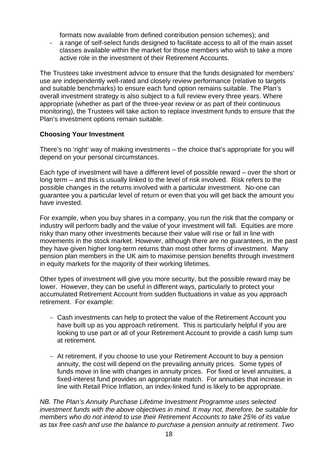formats now available from defined contribution pension schemes); and

- a range of self-select funds designed to facilitate access to all of the main asset classes available within the market for those members who wish to take a more active role in the investment of their Retirement Accounts.

The Trustees take investment advice to ensure that the funds designated for members' use are independently well-rated and closely review performance (relative to targets and suitable benchmarks) to ensure each fund option remains suitable. The Plan's overall investment strategy is also subject to a full review every three years. Where appropriate (whether as part of the three-year review or as part of their continuous monitoring), the Trustees will take action to replace investment funds to ensure that the Plan's investment options remain suitable.

# **Choosing Your Investment**

There's no 'right' way of making investments – the choice that's appropriate for you will depend on your personal circumstances.

Each type of investment will have a different level of possible reward – over the short or long term – and this is usually linked to the level of risk involved. Risk refers to the possible changes in the returns involved with a particular investment. No-one can guarantee you a particular level of return or even that you will get back the amount you have invested.

For example, when you buy shares in a company, you run the risk that the company or industry will perform badly and the value of your investment will fall. Equities are more risky than many other investments because their value will rise or fall in line with movements in the stock market. However, although there are no guarantees, in the past they have given higher long-term returns than most other forms of investment. Many pension plan members in the UK aim to maximise pension benefits through investment in equity markets for the majority of their working lifetimes.

Other types of investment will give you more security, but the possible reward may be lower. However, they can be useful in different ways, particularly to protect your accumulated Retirement Account from sudden fluctuations in value as you approach retirement. For example:

- Cash investments can help to protect the value of the Retirement Account vou have built up as you approach retirement. This is particularly helpful if you are looking to use part or all of your Retirement Account to provide a cash lump sum at retirement.
- At retirement, if you choose to use your Retirement Account to buy a pension annuity, the cost will depend on the prevailing annuity prices. Some types of funds move in line with changes in annuity prices. For fixed or level annuities, a fixed-interest fund provides an appropriate match. For annuities that increase in line with Retail Price Inflation, an index-linked fund is likely to be appropriate.

*NB. The Plan's Annuity Purchase Lifetime Investment Programme uses selected investment funds with the above objectives in mind. It may not, therefore, be suitable for members who do not intend to use their Retirement Accounts to take 25% of its value as tax free cash and use the balance to purchase a pension annuity at retirement. Two*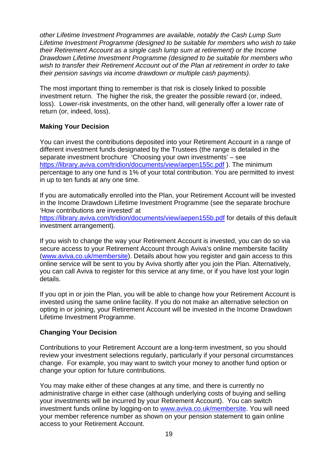*other Lifetime Investment Programmes are available, notably the Cash Lump Sum Lifetime Investment Programme (designed to be suitable for members who wish to take their Retirement Account as a single cash lump sum at retirement) or the Income Drawdown Lifetime Investment Programme (designed to be suitable for members who wish to transfer their Retirement Account out of the Plan at retirement in order to take their pension savings via income drawdown or multiple cash payments).*

The most important thing to remember is that risk is closely linked to possible investment return. The higher the risk, the greater the possible reward (or, indeed, loss). Lower-risk investments, on the other hand, will generally offer a lower rate of return (or, indeed, loss).

# **Making Your Decision**

You can invest the contributions deposited into your Retirement Account in a range of different investment funds designated by the Trustees (the range is detailed in the separate investment brochure 'Choosing your own investments' – see https://library.aviva.com/tridion/documents/view/aepen155c.pdf ). The minimum percentage to any one fund is 1% of your total contribution. You are permitted to invest in up to ten funds at any one time.

If you are automatically enrolled into the Plan, your Retirement Account will be invested in the Income Drawdown Lifetime Investment Programme (see the separate brochure 'How contributions are invested' at

https://library.aviva.com/tridion/documents/view/aepen155b.pdf for details of this default investment arrangement).

If you wish to change the way your Retirement Account is invested, you can do so via secure access to your Retirement Account through Aviva's online membersite facility (www.aviva.co.uk/membersite). Details about how you register and gain access to this online service will be sent to you by Aviva shortly after you join the Plan. Alternatively, you can call Aviva to register for this service at any time, or if you have lost your login details.

If you opt in or join the Plan, you will be able to change how your Retirement Account is invested using the same online facility. If you do not make an alternative selection on opting in or joining, your Retirement Account will be invested in the Income Drawdown Lifetime Investment Programme.

# **Changing Your Decision**

Contributions to your Retirement Account are a long-term investment, so you should review your investment selections regularly, particularly if your personal circumstances change. For example, you may want to switch your money to another fund option or change your option for future contributions.

You may make either of these changes at any time, and there is currently no administrative charge in either case (although underlying costs of buying and selling your investments will be incurred by your Retirement Account). You can switch investment funds online by logging-on to www.aviva.co.uk/membersite. You will need your member reference number as shown on your pension statement to gain online access to your Retirement Account.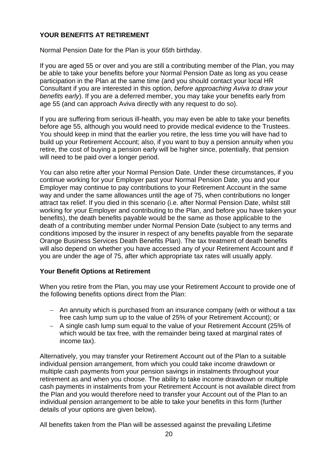# **YOUR BENEFITS AT RETIREMENT**

Normal Pension Date for the Plan is your 65th birthday.

If you are aged 55 or over and you are still a contributing member of the Plan, you may be able to take your benefits before your Normal Pension Date as long as you cease participation in the Plan at the same time (and you should contact your local HR Consultant if you are interested in this option, *before approaching Aviva to draw your benefits early*). If you are a deferred member, you may take your benefits early from age 55 (and can approach Aviva directly with any request to do so).

If you are suffering from serious ill-health, you may even be able to take your benefits before age 55, although you would need to provide medical evidence to the Trustees. You should keep in mind that the earlier you retire, the less time you will have had to build up your Retirement Account; also, if you want to buy a pension annuity when you retire, the cost of buying a pension early will be higher since, potentially, that pension will need to be paid over a longer period.

You can also retire after your Normal Pension Date. Under these circumstances, if you continue working for your Employer past your Normal Pension Date, you and your Employer may continue to pay contributions to your Retirement Account in the same way and under the same allowances until the age of 75, when contributions no longer attract tax relief. If you died in this scenario (i.e. after Normal Pension Date, whilst still working for your Employer and contributing to the Plan, and before you have taken your benefits), the death benefits payable would be the same as those applicable to the death of a contributing member under Normal Pension Date (subject to any terms and conditions imposed by the insurer in respect of any benefits payable from the separate Orange Business Services Death Benefits Plan). The tax treatment of death benefits will also depend on whether you have accessed any of your Retirement Account and if you are under the age of 75, after which appropriate tax rates will usually apply.

## **Your Benefit Options at Retirement**

When you retire from the Plan, you may use your Retirement Account to provide one of the following benefits options direct from the Plan:

- An annuity which is purchased from an insurance company (with or without a tax free cash lump sum up to the value of 25% of your Retirement Account); or
- A single cash lump sum equal to the value of your Retirement Account (25% of which would be tax free, with the remainder being taxed at marginal rates of income tax).

Alternatively, you may transfer your Retirement Account out of the Plan to a suitable individual pension arrangement, from which you could take income drawdown or multiple cash payments from your pension savings in instalments throughout your retirement as and when you choose. The ability to take income drawdown or multiple cash payments in instalments from your Retirement Account is not available direct from the Plan and you would therefore need to transfer your Account out of the Plan to an individual pension arrangement to be able to take your benefits in this form (further details of your options are given below).

All benefits taken from the Plan will be assessed against the prevailing Lifetime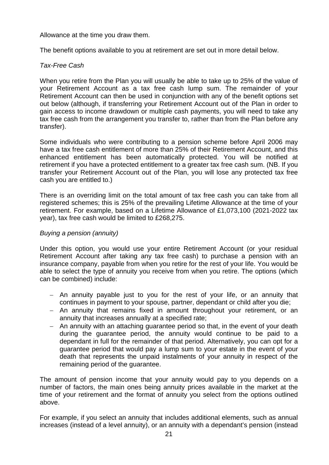Allowance at the time you draw them.

The benefit options available to you at retirement are set out in more detail below.

# *Tax-Free Cash*

When you retire from the Plan you will usually be able to take up to 25% of the value of your Retirement Account as a tax free cash lump sum. The remainder of your Retirement Account can then be used in conjunction with any of the benefit options set out below (although, if transferring your Retirement Account out of the Plan in order to gain access to income drawdown or multiple cash payments, you will need to take any tax free cash from the arrangement you transfer to, rather than from the Plan before any transfer).

Some individuals who were contributing to a pension scheme before April 2006 may have a tax free cash entitlement of more than 25% of their Retirement Account, and this enhanced entitlement has been automatically protected. You will be notified at retirement if you have a protected entitlement to a greater tax free cash sum. (NB. If you transfer your Retirement Account out of the Plan, you will lose any protected tax free cash you are entitled to.)

There is an overriding limit on the total amount of tax free cash you can take from all registered schemes; this is 25% of the prevailing Lifetime Allowance at the time of your retirement. For example, based on a Lifetime Allowance of £1,073,100 (2021-2022 tax year), tax free cash would be limited to £268,275.

## *Buying a pension (annuity)*

Under this option, you would use your entire Retirement Account (or your residual Retirement Account after taking any tax free cash) to purchase a pension with an insurance company, payable from when you retire for the rest of your life. You would be able to select the type of annuity you receive from when you retire. The options (which can be combined) include:

- An annuity payable just to you for the rest of your life, or an annuity that continues in payment to your spouse, partner, dependant or child after you die;
- An annuity that remains fixed in amount throughout your retirement, or an annuity that increases annually at a specified rate;
- An annuity with an attaching guarantee period so that, in the event of your death during the guarantee period, the annuity would continue to be paid to a dependant in full for the remainder of that period. Alternatively, you can opt for a guarantee period that would pay a lump sum to your estate in the event of your death that represents the unpaid instalments of your annuity in respect of the remaining period of the guarantee.

The amount of pension income that your annuity would pay to you depends on a number of factors, the main ones being annuity prices available in the market at the time of your retirement and the format of annuity you select from the options outlined above.

For example, if you select an annuity that includes additional elements, such as annual increases (instead of a level annuity), or an annuity with a dependant's pension (instead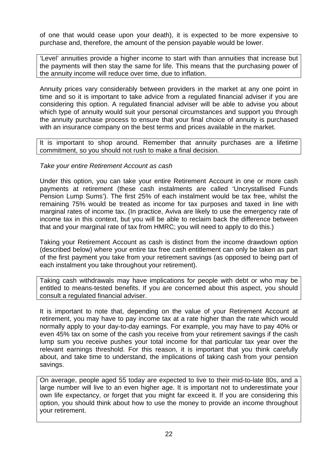of one that would cease upon your death), it is expected to be more expensive to purchase and, therefore, the amount of the pension payable would be lower.

'Level' annuities provide a higher income to start with than annuities that increase but the payments will then stay the same for life. This means that the purchasing power of the annuity income will reduce over time, due to inflation.

Annuity prices vary considerably between providers in the market at any one point in time and so it is important to take advice from a regulated financial adviser if you are considering this option. A regulated financial adviser will be able to advise you about which type of annuity would suit your personal circumstances and support you through the annuity purchase process to ensure that your final choice of annuity is purchased with an insurance company on the best terms and prices available in the market.

It is important to shop around. Remember that annuity purchases are a lifetime commitment, so you should not rush to make a final decision.

*Take your entire Retirement Account as cash*

Under this option, you can take your entire Retirement Account in one or more cash payments at retirement (these cash instalments are called 'Uncrystallised Funds Pension Lump Sums'). The first 25% of each instalment would be tax free, whilst the remaining 75% would be treated as income for tax purposes and taxed in line with marginal rates of income tax. (In practice, Aviva are likely to use the emergency rate of income tax in this context, but you will be able to reclaim back the difference between that and your marginal rate of tax from HMRC; you will need to apply to do this.)

Taking your Retirement Account as cash is distinct from the income drawdown option (described below) where your entire tax free cash entitlement can only be taken as part of the first payment you take from your retirement savings (as opposed to being part of each instalment you take throughout your retirement).

Taking cash withdrawals may have implications for people with debt or who may be entitled to means-tested benefits. If you are concerned about this aspect, you should consult a regulated financial adviser.

It is important to note that, depending on the value of your Retirement Account at retirement, you may have to pay income tax at a rate higher than the rate which would normally apply to your day-to-day earnings. For example, you may have to pay 40% or even 45% tax on some of the cash you receive from your retirement savings if the cash lump sum you receive pushes your total income for that particular tax year over the relevant earnings threshold. For this reason, it is important that you think carefully about, and take time to understand, the implications of taking cash from your pension savings.

On average, people aged 55 today are expected to live to their mid-to-late 80s, and a large number will live to an even higher age. It is important not to underestimate your own life expectancy, or forget that you might far exceed it. If you are considering this option, you should think about how to use the money to provide an income throughout your retirement.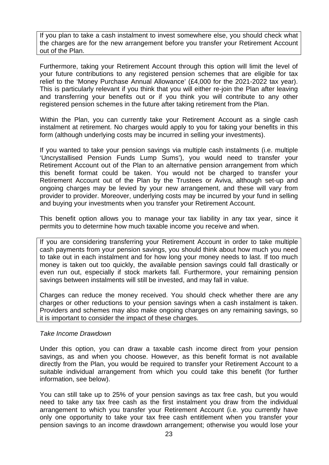If you plan to take a cash instalment to invest somewhere else, you should check what the charges are for the new arrangement before you transfer your Retirement Account out of the Plan.

Furthermore, taking your Retirement Account through this option will limit the level of your future contributions to any registered pension schemes that are eligible for tax relief to the 'Money Purchase Annual Allowance' (£4,000 for the 2021-2022 tax year). This is particularly relevant if you think that you will either re-join the Plan after leaving and transferring your benefits out or if you think you will contribute to any other registered pension schemes in the future after taking retirement from the Plan.

Within the Plan, you can currently take your Retirement Account as a single cash instalment at retirement. No charges would apply to you for taking your benefits in this form (although underlying costs may be incurred in selling your investments).

If you wanted to take your pension savings via multiple cash instalments (i.e. multiple 'Uncrystallised Pension Funds Lump Sums'), you would need to transfer your Retirement Account out of the Plan to an alternative pension arrangement from which this benefit format could be taken. You would not be charged to transfer your Retirement Account out of the Plan by the Trustees or Aviva, although set-up and ongoing charges may be levied by your new arrangement, and these will vary from provider to provider. Moreover, underlying costs may be incurred by your fund in selling and buying your investments when you transfer your Retirement Account.

This benefit option allows you to manage your tax liability in any tax year, since it permits you to determine how much taxable income you receive and when.

If you are considering transferring your Retirement Account in order to take multiple cash payments from your pension savings, you should think about how much you need to take out in each instalment and for how long your money needs to last. If too much money is taken out too quickly, the available pension savings could fall drastically or even run out, especially if stock markets fall. Furthermore, your remaining pension savings between instalments will still be invested, and may fall in value.

Charges can reduce the money received. You should check whether there are any charges or other reductions to your pension savings when a cash instalment is taken. Providers and schemes may also make ongoing charges on any remaining savings, so it is important to consider the impact of these charges.

## *Take Income Drawdown*

Under this option, you can draw a taxable cash income direct from your pension savings, as and when you choose. However, as this benefit format is not available directly from the Plan, you would be required to transfer your Retirement Account to a suitable individual arrangement from which you could take this benefit (for further information, see below).

You can still take up to 25% of your pension savings as tax free cash, but you would need to take any tax free cash as the first instalment you draw from the individual arrangement to which you transfer your Retirement Account (i.e. you currently have only one opportunity to take your tax free cash entitlement when you transfer your pension savings to an income drawdown arrangement; otherwise you would lose your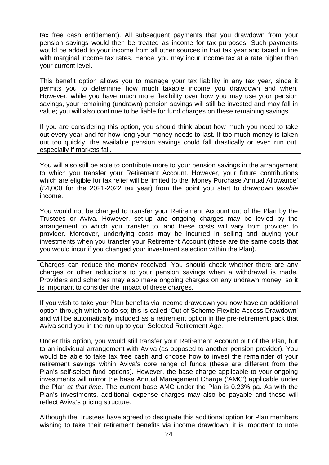tax free cash entitlement). All subsequent payments that you drawdown from your pension savings would then be treated as income for tax purposes. Such payments would be added to your income from all other sources in that tax year and taxed in line with marginal income tax rates. Hence, you may incur income tax at a rate higher than your current level.

This benefit option allows you to manage your tax liability in any tax year, since it permits you to determine how much taxable income you drawdown and when. However, while you have much more flexibility over how you may use your pension savings, your remaining (undrawn) pension savings will still be invested and may fall in value; you will also continue to be liable for fund charges on these remaining savings.

If you are considering this option, you should think about how much you need to take out every year and for how long your money needs to last. If too much money is taken out too quickly, the available pension savings could fall drastically or even run out, especially if markets fall.

You will also still be able to contribute more to your pension savings in the arrangement to which you transfer your Retirement Account. However, your future contributions which are eligible for tax relief will be limited to the 'Money Purchase Annual Allowance' (£4,000 for the 2021-2022 tax year) from the point you start to drawdown *taxable* income.

You would not be charged to transfer your Retirement Account out of the Plan by the Trustees or Aviva. However, set-up and ongoing charges may be levied by the arrangement to which you transfer to, and these costs will vary from provider to provider. Moreover, underlying costs may be incurred in selling and buying your investments when you transfer your Retirement Account (these are the same costs that you would incur if you changed your investment selection within the Plan).

Charges can reduce the money received. You should check whether there are any charges or other reductions to your pension savings when a withdrawal is made. Providers and schemes may also make ongoing charges on any undrawn money, so it is important to consider the impact of these charges.

If you wish to take your Plan benefits via income drawdown you now have an additional option through which to do so; this is called 'Out of Scheme Flexible Access Drawdown' and will be automatically included as a retirement option in the pre-retirement pack that Aviva send you in the run up to your Selected Retirement Age.

Under this option, you would still transfer your Retirement Account out of the Plan, but to an individual arrangement with Aviva (as opposed to another pension provider). You would be able to take tax free cash and choose how to invest the remainder of your retirement savings within Aviva's core range of funds (these are different from the Plan's self-select fund options). However, the base charge applicable to your ongoing investments will mirror the base Annual Management Charge ('AMC') applicable under the Plan *at that time*. The current base AMC under the Plan is 0.23% pa. As with the Plan's investments, additional expense charges may also be payable and these will reflect Aviva's pricing structure.

Although the Trustees have agreed to designate this additional option for Plan members wishing to take their retirement benefits via income drawdown, it is important to note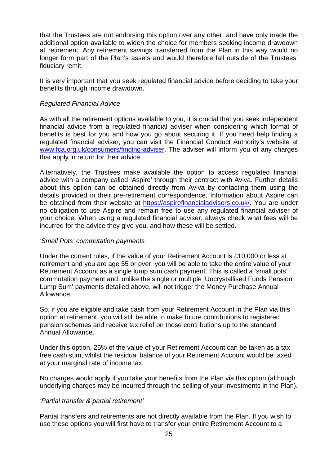that the Trustees are not endorsing this option over any other, and have only made the additional option available to widen the choice for members seeking income drawdown at retirement. Any retirement savings transferred from the Plan in this way would no longer form part of the Plan's assets and would therefore fall outside of the Trustees' fiduciary remit.

It is very important that you seek regulated financial advice before deciding to take your benefits through income drawdown.

## *Regulated Financial Advice*

As with all the retirement options available to you, it is crucial that you seek independent financial advice from a regulated financial adviser when considering which format of benefits is best for you and how you go about securing it. If you need help finding a regulated financial adviser, you can visit the Financial Conduct Authority's website at www.fca.org.uk/consumers/finding-adviser. The adviser will inform you of any charges that apply in return for their advice.

Alternatively, the Trustees make available the option to access regulated financial advice with a company called 'Aspire' through their contract with Aviva. Further details about this option can be obtained directly from Aviva by contacting them using the details provided in their pre-retirement correspondence. Information about Aspire can be obtained from their website at https://aspirefinancialadvisers.co.uk/. You are under no obligation to use Aspire and remain free to use any regulated financial adviser of your choice. When using a regulated financial adviser, always check what fees will be incurred for the advice they give you, and how these will be settled.

## *'Small Pots' commutation payments*

Under the current rules, if the value of your Retirement Account is £10,000 or less at retirement and you are age 55 or over, you will be able to take the entire value of your Retirement Account as a single lump sum cash payment. This is called a 'small pots' commutation payment and, unlike the single or multiple 'Uncrystallised Funds Pension Lump Sum' payments detailed above, will not trigger the Money Purchase Annual Allowance.

So, if you are eligible and take cash from your Retirement Account in the Plan via this option at retirement, you will still be able to make future contributions to registered pension schemes and receive tax relief on those contributions up to the standard Annual Allowance.

Under this option, 25% of the value of your Retirement Account can be taken as a tax free cash sum, whilst the residual balance of your Retirement Account would be taxed at your marginal rate of income tax.

No charges would apply if you take your benefits from the Plan via this option (although underlying charges may be incurred through the selling of your investments in the Plan).

## *'Partial transfer & partial retirement'*

Partial transfers and retirements are not directly available from the Plan. If you wish to use these options you will first have to transfer your entire Retirement Account to a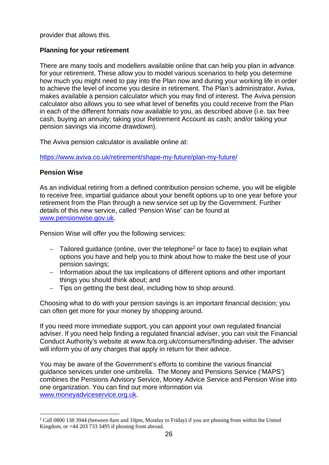provider that allows this.

# **Planning for your retirement**

There are many tools and modellers available online that can help you plan in advance for your retirement. These allow you to model various scenarios to help you determine how much you might need to pay into the Plan now and during your working life in order to achieve the level of income you desire in retirement. The Plan's administrator, Aviva, makes available a pension calculator which you may find of interest. The Aviva pension calculator also allows you to see what level of benefits you could receive from the Plan in each of the different formats now available to you, as described above (i.e. tax free cash, buying an annuity; taking your Retirement Account as cash; and/or taking your pension savings via income drawdown).

The Aviva pension calculator is available online at:

https://www.aviva.co.uk/retirement/shape-my-future/plan-my-future/

## **Pension Wise**

As an individual retiring from a defined contribution pension scheme, you will be eligible to receive free, impartial guidance about your benefit options up to one year before your retirement from the Plan through a new service set up by the Government. Further details of this new service, called 'Pension Wise' can be found at www.pensionwise.gov.uk.

Pension Wise will offer you the following services:

- $-$  Tailored guidance (online, over the telephone<sup>2</sup> or face to face) to explain what options you have and help you to think about how to make the best use of your pension savings;
- Information about the tax implications of different options and other important things you should think about; and
- Tips on getting the best deal, including how to shop around.

Choosing what to do with your pension savings is an important financial decision; you can often get more for your money by shopping around.

If you need more immediate support, you can appoint your own regulated financial adviser. If you need help finding a regulated financial adviser, you can visit the Financial Conduct Authority's website at www.fca.org.uk/consumers/finding-adviser. The adviser will inform you of any charges that apply in return for their advice.

You may be aware of the Government's efforts to combine the various financial guidance services under one umbrella. The Money and Pensions Service ('MAPS') combines the Pensions Advisory Service, Money Advice Service and Pension Wise into one organization. You can find out more information via www.moneyadviceservice.org.uk.

<sup>&</sup>lt;sup>2</sup> Call 0800 138 3944 (between 8am and 10pm, Monday to Friday) if you are phoning from within the United Kingdom, or +44 203 733 3495 if phoning from abroad.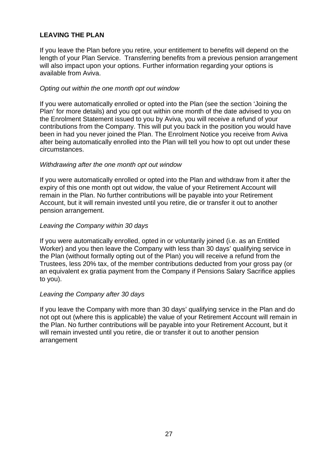# **LEAVING THE PLAN**

If you leave the Plan before you retire, your entitlement to benefits will depend on the length of your Plan Service. Transferring benefits from a previous pension arrangement will also impact upon your options. Further information regarding your options is available from Aviva.

## *Opting out within the one month opt out window*

If you were automatically enrolled or opted into the Plan (see the section 'Joining the Plan' for more details) and you opt out within one month of the date advised to you on the Enrolment Statement issued to you by Aviva, you will receive a refund of your contributions from the Company. This will put you back in the position you would have been in had you never joined the Plan. The Enrolment Notice you receive from Aviva after being automatically enrolled into the Plan will tell you how to opt out under these circumstances.

## *Withdrawing after the one month opt out window*

If you were automatically enrolled or opted into the Plan and withdraw from it after the expiry of this one month opt out widow, the value of your Retirement Account will remain in the Plan. No further contributions will be payable into your Retirement Account, but it will remain invested until you retire, die or transfer it out to another pension arrangement.

## *Leaving the Company within 30 days*

If you were automatically enrolled, opted in or voluntarily joined (i.e. as an Entitled Worker) and you then leave the Company with less than 30 days' qualifying service in the Plan (without formally opting out of the Plan) you will receive a refund from the Trustees, less 20% tax, of the member contributions deducted from your gross pay (or an equivalent ex gratia payment from the Company if Pensions Salary Sacrifice applies to you).

## *Leaving the Company after 30 days*

If you leave the Company with more than 30 days' qualifying service in the Plan and do not opt out (where this is applicable) the value of your Retirement Account will remain in the Plan. No further contributions will be payable into your Retirement Account, but it will remain invested until you retire, die or transfer it out to another pension arrangement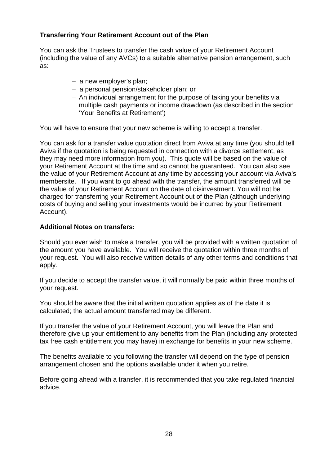# **Transferring Your Retirement Account out of the Plan**

You can ask the Trustees to transfer the cash value of your Retirement Account (including the value of any AVCs) to a suitable alternative pension arrangement, such as:

- a new employer's plan;
- a personal pension/stakeholder plan; or
- An individual arrangement for the purpose of taking your benefits via multiple cash payments or income drawdown (as described in the section 'Your Benefits at Retirement')

You will have to ensure that your new scheme is willing to accept a transfer.

You can ask for a transfer value quotation direct from Aviva at any time (you should tell Aviva if the quotation is being requested in connection with a divorce settlement, as they may need more information from you). This quote will be based on the value of your Retirement Account at the time and so cannot be guaranteed. You can also see the value of your Retirement Account at any time by accessing your account via Aviva's membersite. If you want to go ahead with the transfer, the amount transferred will be the value of your Retirement Account on the date of disinvestment. You will not be charged for transferring your Retirement Account out of the Plan (although underlying costs of buying and selling your investments would be incurred by your Retirement Account).

## **Additional Notes on transfers:**

Should you ever wish to make a transfer, you will be provided with a written quotation of the amount you have available. You will receive the quotation within three months of your request. You will also receive written details of any other terms and conditions that apply.

If you decide to accept the transfer value, it will normally be paid within three months of your request.

You should be aware that the initial written quotation applies as of the date it is calculated; the actual amount transferred may be different.

If you transfer the value of your Retirement Account, you will leave the Plan and therefore give up your entitlement to any benefits from the Plan (including any protected tax free cash entitlement you may have) in exchange for benefits in your new scheme.

The benefits available to you following the transfer will depend on the type of pension arrangement chosen and the options available under it when you retire.

Before going ahead with a transfer, it is recommended that you take regulated financial advice.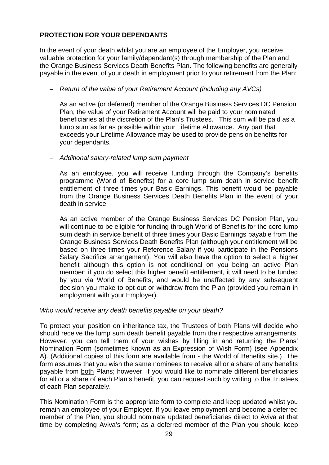# **PROTECTION FOR YOUR DEPENDANTS**

In the event of your death whilst you are an employee of the Employer, you receive valuable protection for your family/dependant(s) through membership of the Plan and the Orange Business Services Death Benefits Plan. The following benefits are generally payable in the event of your death in employment prior to your retirement from the Plan:

## *Return of the value of your Retirement Account (including any AVCs)*

As an active (or deferred) member of the Orange Business Services DC Pension Plan, the value of your Retirement Account will be paid to your nominated beneficiaries at the discretion of the Plan's Trustees. This sum will be paid as a lump sum as far as possible within your Lifetime Allowance. Any part that exceeds your Lifetime Allowance may be used to provide pension benefits for your dependants.

## *Additional salary-related lump sum payment*

As an employee, you will receive funding through the Company's benefits programme (World of Benefits) for a core lump sum death in service benefit entitlement of three times your Basic Earnings. This benefit would be payable from the Orange Business Services Death Benefits Plan in the event of your death in service.

As an active member of the Orange Business Services DC Pension Plan, you will continue to be eligible for funding through World of Benefits for the core lump sum death in service benefit of three times your Basic Earnings payable from the Orange Business Services Death Benefits Plan (although your entitlement will be based on three times your Reference Salary if you participate in the Pensions Salary Sacrifice arrangement). You will also have the option to select a higher benefit although this option is not conditional on you being an active Plan member; if you do select this higher benefit entitlement, it will need to be funded by you via World of Benefits, and would be unaffected by any subsequent decision you make to opt-out or withdraw from the Plan (provided you remain in employment with your Employer).

## *Who would receive any death benefits payable on your death?*

To protect your position on inheritance tax, the Trustees of both Plans will decide who should receive the lump sum death benefit payable from their respective arrangements. However, you can tell them of your wishes by filling in and returning the Plans' Nomination Form (sometimes known as an Expression of Wish Form) (see Appendix A). (Additional copies of this form are available from - the World of Benefits site.) The form assumes that you wish the same nominees to receive all or a share of any benefits payable from both Plans; however, if you would like to nominate different beneficiaries for all or a share of each Plan's benefit, you can request such by writing to the Trustees of each Plan separately.

This Nomination Form is the appropriate form to complete and keep updated whilst you remain an employee of your Employer. If you leave employment and become a deferred member of the Plan, you should nominate updated beneficiaries direct to Aviva at that time by completing Aviva's form; as a deferred member of the Plan you should keep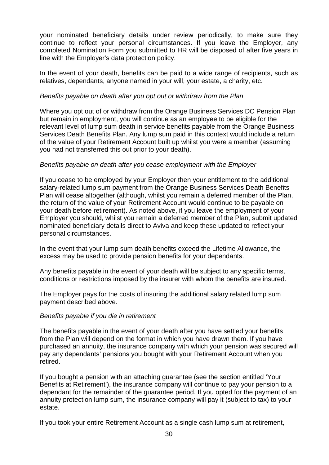your nominated beneficiary details under review periodically, to make sure they continue to reflect your personal circumstances. If you leave the Employer, any completed Nomination Form you submitted to HR will be disposed of after five years in line with the Employer's data protection policy.

In the event of your death, benefits can be paid to a wide range of recipients, such as relatives, dependants, anyone named in your will, your estate, a charity, etc.

## *Benefits payable on death after you opt out or withdraw from the Plan*

Where you opt out of or withdraw from the Orange Business Services DC Pension Plan but remain in employment, you will continue as an employee to be eligible for the relevant level of lump sum death in service benefits payable from the Orange Business Services Death Benefits Plan. Any lump sum paid in this context would include a return of the value of your Retirement Account built up whilst you were a member (assuming you had not transferred this out prior to your death).

## *Benefits payable on death after you cease employment with the Employer*

If you cease to be employed by your Employer then your entitlement to the additional salary-related lump sum payment from the Orange Business Services Death Benefits Plan will cease altogether (although, whilst you remain a deferred member of the Plan, the return of the value of your Retirement Account would continue to be payable on your death before retirement). As noted above, if you leave the employment of your Employer you should, whilst you remain a deferred member of the Plan, submit updated nominated beneficiary details direct to Aviva and keep these updated to reflect your personal circumstances.

In the event that your lump sum death benefits exceed the Lifetime Allowance, the excess may be used to provide pension benefits for your dependants.

Any benefits payable in the event of your death will be subject to any specific terms, conditions or restrictions imposed by the insurer with whom the benefits are insured.

The Employer pays for the costs of insuring the additional salary related lump sum payment described above.

## *Benefits payable if you die in retirement*

The benefits payable in the event of your death after you have settled your benefits from the Plan will depend on the format in which you have drawn them. If you have purchased an annuity, the insurance company with which your pension was secured will pay any dependants' pensions you bought with your Retirement Account when you retired.

If you bought a pension with an attaching guarantee (see the section entitled 'Your Benefits at Retirement'), the insurance company will continue to pay your pension to a dependant for the remainder of the guarantee period. If you opted for the payment of an annuity protection lump sum, the insurance company will pay it (subject to tax) to your estate.

If you took your entire Retirement Account as a single cash lump sum at retirement,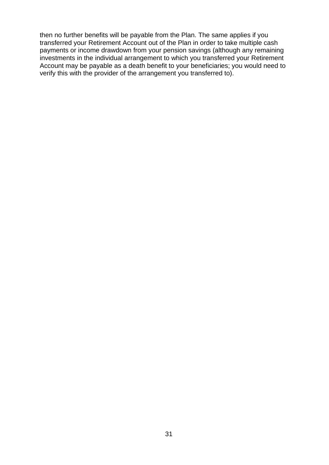then no further benefits will be payable from the Plan. The same applies if you transferred your Retirement Account out of the Plan in order to take multiple cash payments or income drawdown from your pension savings (although any remaining investments in the individual arrangement to which you transferred your Retirement Account may be payable as a death benefit to your beneficiaries; you would need to verify this with the provider of the arrangement you transferred to).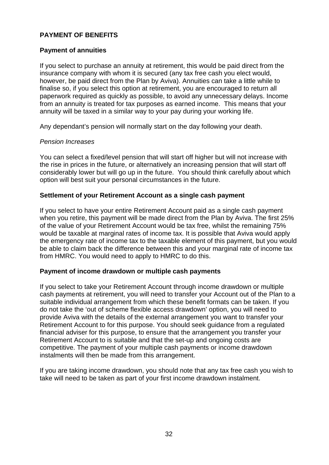# **PAYMENT OF BENEFITS**

## **Payment of annuities**

If you select to purchase an annuity at retirement, this would be paid direct from the insurance company with whom it is secured (any tax free cash you elect would, however, be paid direct from the Plan by Aviva). Annuities can take a little while to finalise so, if you select this option at retirement, you are encouraged to return all paperwork required as quickly as possible, to avoid any unnecessary delays. Income from an annuity is treated for tax purposes as earned income. This means that your annuity will be taxed in a similar way to your pay during your working life.

Any dependant's pension will normally start on the day following your death.

#### *Pension Increases*

You can select a fixed/level pension that will start off higher but will not increase with the rise in prices in the future, or alternatively an increasing pension that will start off considerably lower but will go up in the future. You should think carefully about which option will best suit your personal circumstances in the future.

## **Settlement of your Retirement Account as a single cash payment**

If you select to have your entire Retirement Account paid as a single cash payment when you retire, this payment will be made direct from the Plan by Aviva. The first 25% of the value of your Retirement Account would be tax free, whilst the remaining 75% would be taxable at marginal rates of income tax. It is possible that Aviva would apply the emergency rate of income tax to the taxable element of this payment, but you would be able to claim back the difference between this and your marginal rate of income tax from HMRC. You would need to apply to HMRC to do this.

## **Payment of income drawdown or multiple cash payments**

If you select to take your Retirement Account through income drawdown or multiple cash payments at retirement, you will need to transfer your Account out of the Plan to a suitable individual arrangement from which these benefit formats can be taken. If you do not take the 'out of scheme flexible access drawdown' option, you will need to provide Aviva with the details of the external arrangement you want to transfer your Retirement Account to for this purpose. You should seek guidance from a regulated financial adviser for this purpose, to ensure that the arrangement you transfer your Retirement Account to is suitable and that the set-up and ongoing costs are competitive. The payment of your multiple cash payments or income drawdown instalments will then be made from this arrangement.

If you are taking income drawdown, you should note that any tax free cash you wish to take will need to be taken as part of your first income drawdown instalment.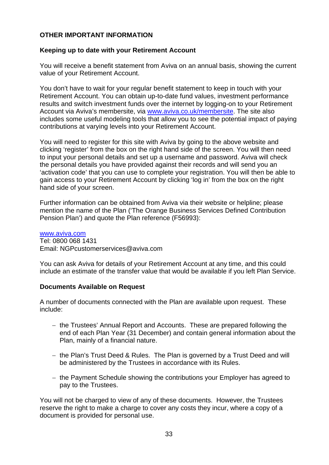## **OTHER IMPORTANT INFORMATION**

## **Keeping up to date with your Retirement Account**

You will receive a benefit statement from Aviva on an annual basis, showing the current value of your Retirement Account.

You don't have to wait for your regular benefit statement to keep in touch with your Retirement Account. You can obtain up-to-date fund values, investment performance results and switch investment funds over the internet by logging-on to your Retirement Account via Aviva's membersite, via www.aviva.co.uk/membersite. The site also includes some useful modeling tools that allow you to see the potential impact of paying contributions at varying levels into your Retirement Account.

You will need to register for this site with Aviva by going to the above website and clicking 'register' from the box on the right hand side of the screen. You will then need to input your personal details and set up a username and password. Aviva will check the personal details you have provided against their records and will send you an 'activation code' that you can use to complete your registration. You will then be able to gain access to your Retirement Account by clicking 'log in' from the box on the right hand side of your screen.

Further information can be obtained from Aviva via their website or helpline; please mention the name of the Plan ('The Orange Business Services Defined Contribution Pension Plan') and quote the Plan reference (F56993):

www.aviva.com Tel: 0800 068 1431 Email: NGPcustomerservices@aviva.com

You can ask Aviva for details of your Retirement Account at any time, and this could include an estimate of the transfer value that would be available if you left Plan Service.

## **Documents Available on Request**

A number of documents connected with the Plan are available upon request. These include:

- the Trustees' Annual Report and Accounts. These are prepared following the end of each Plan Year (31 December) and contain general information about the Plan, mainly of a financial nature.
- the Plan's Trust Deed & Rules. The Plan is governed by a Trust Deed and will be administered by the Trustees in accordance with its Rules.
- the Payment Schedule showing the contributions your Employer has agreed to pay to the Trustees.

You will not be charged to view of any of these documents. However, the Trustees reserve the right to make a charge to cover any costs they incur, where a copy of a document is provided for personal use.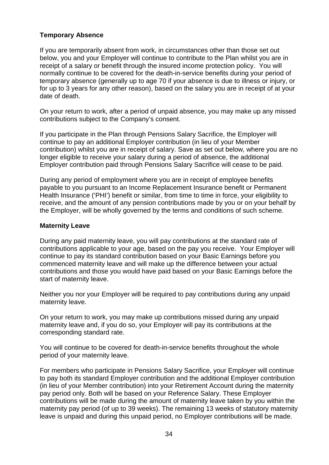# **Temporary Absence**

If you are temporarily absent from work, in circumstances other than those set out below, you and your Employer will continue to contribute to the Plan whilst you are in receipt of a salary or benefit through the insured income protection policy. You will normally continue to be covered for the death-in-service benefits during your period of temporary absence (generally up to age 70 if your absence is due to illness or injury, or for up to 3 years for any other reason), based on the salary you are in receipt of at your date of death.

On your return to work, after a period of unpaid absence, you may make up any missed contributions subject to the Company's consent.

If you participate in the Plan through Pensions Salary Sacrifice, the Employer will continue to pay an additional Employer contribution (in lieu of your Member contribution) whilst you are in receipt of salary. Save as set out below, where you are no longer eligible to receive your salary during a period of absence, the additional Employer contribution paid through Pensions Salary Sacrifice will cease to be paid.

During any period of employment where you are in receipt of employee benefits payable to you pursuant to an Income Replacement Insurance benefit or Permanent Health Insurance ('PHI') benefit or similar, from time to time in force, your eligibility to receive, and the amount of any pension contributions made by you or on your behalf by the Employer, will be wholly governed by the terms and conditions of such scheme.

## **Maternity Leave**

During any paid maternity leave, you will pay contributions at the standard rate of contributions applicable to your age, based on the pay you receive. Your Employer will continue to pay its standard contribution based on your Basic Earnings before you commenced maternity leave and will make up the difference between your actual contributions and those you would have paid based on your Basic Earnings before the start of maternity leave.

Neither you nor your Employer will be required to pay contributions during any unpaid maternity leave.

On your return to work, you may make up contributions missed during any unpaid maternity leave and, if you do so, your Employer will pay its contributions at the corresponding standard rate.

You will continue to be covered for death-in-service benefits throughout the whole period of your maternity leave.

For members who participate in Pensions Salary Sacrifice, your Employer will continue to pay both its standard Employer contribution and the additional Employer contribution (in lieu of your Member contribution) into your Retirement Account during the maternity pay period only. Both will be based on your Reference Salary. These Employer contributions will be made during the amount of maternity leave taken by you within the maternity pay period (of up to 39 weeks). The remaining 13 weeks of statutory maternity leave is unpaid and during this unpaid period, no Employer contributions will be made.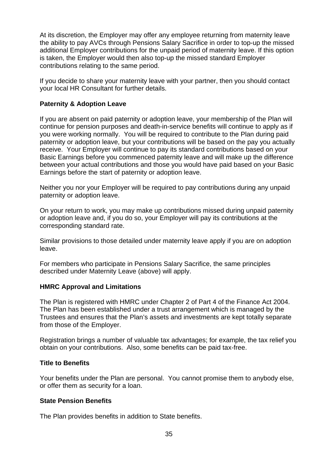At its discretion, the Employer may offer any employee returning from maternity leave the ability to pay AVCs through Pensions Salary Sacrifice in order to top-up the missed additional Employer contributions for the unpaid period of maternity leave. If this option is taken, the Employer would then also top-up the missed standard Employer contributions relating to the same period.

If you decide to share your maternity leave with your partner, then you should contact your local HR Consultant for further details.

# **Paternity & Adoption Leave**

If you are absent on paid paternity or adoption leave, your membership of the Plan will continue for pension purposes and death-in-service benefits will continue to apply as if you were working normally. You will be required to contribute to the Plan during paid paternity or adoption leave, but your contributions will be based on the pay you actually receive. Your Employer will continue to pay its standard contributions based on your Basic Earnings before you commenced paternity leave and will make up the difference between your actual contributions and those you would have paid based on your Basic Earnings before the start of paternity or adoption leave.

Neither you nor your Employer will be required to pay contributions during any unpaid paternity or adoption leave.

On your return to work, you may make up contributions missed during unpaid paternity or adoption leave and, if you do so, your Employer will pay its contributions at the corresponding standard rate.

Similar provisions to those detailed under maternity leave apply if you are on adoption leave.

For members who participate in Pensions Salary Sacrifice, the same principles described under Maternity Leave (above) will apply.

## **HMRC Approval and Limitations**

The Plan is registered with HMRC under Chapter 2 of Part 4 of the Finance Act 2004. The Plan has been established under a trust arrangement which is managed by the Trustees and ensures that the Plan's assets and investments are kept totally separate from those of the Employer.

Registration brings a number of valuable tax advantages; for example, the tax relief you obtain on your contributions. Also, some benefits can be paid tax-free.

## **Title to Benefits**

Your benefits under the Plan are personal. You cannot promise them to anybody else, or offer them as security for a loan.

## **State Pension Benefits**

The Plan provides benefits in addition to State benefits.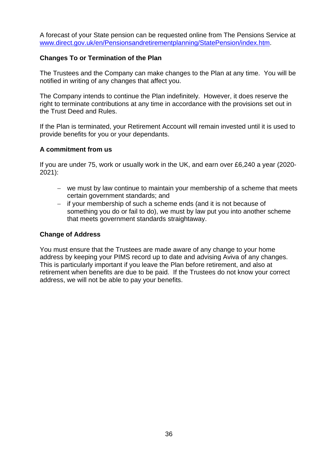A forecast of your State pension can be requested online from The Pensions Service at www.direct.gov.uk/en/Pensionsandretirementplanning/StatePension/index.htm.

## **Changes To or Termination of the Plan**

The Trustees and the Company can make changes to the Plan at any time. You will be notified in writing of any changes that affect you.

The Company intends to continue the Plan indefinitely. However, it does reserve the right to terminate contributions at any time in accordance with the provisions set out in the Trust Deed and Rules.

If the Plan is terminated, your Retirement Account will remain invested until it is used to provide benefits for you or your dependants.

## **A commitment from us**

If you are under 75, work or usually work in the UK, and earn over £6,240 a year (2020- 2021):

- we must by law continue to maintain your membership of a scheme that meets certain government standards; and
- if your membership of such a scheme ends (and it is not because of something you do or fail to do), we must by law put you into another scheme that meets government standards straightaway.

## **Change of Address**

You must ensure that the Trustees are made aware of any change to your home address by keeping your PIMS record up to date and advising Aviva of any changes. This is particularly important if you leave the Plan before retirement, and also at retirement when benefits are due to be paid. If the Trustees do not know your correct address, we will not be able to pay your benefits.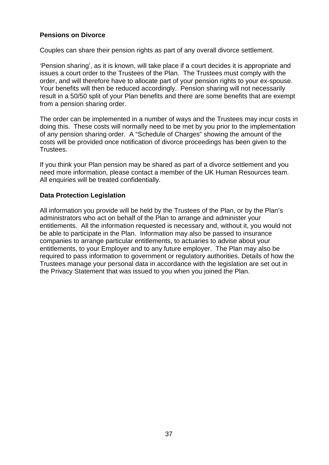# **Pensions on Divorce**

Couples can share their pension rights as part of any overall divorce settlement.

'Pension sharing', as it is known, will take place if a court decides it is appropriate and issues a court order to the Trustees of the Plan. The Trustees must comply with the order, and will therefore have to allocate part of your pension rights to your ex-spouse. Your benefits will then be reduced accordingly. Pension sharing will not necessarily result in a 50/50 split of your Plan benefits and there are some benefits that are exempt from a pension sharing order.

The order can be implemented in a number of ways and the Trustees may incur costs in doing this. These costs will normally need to be met by you prior to the implementation of any pension sharing order. A "Schedule of Charges" showing the amount of the costs will be provided once notification of divorce proceedings has been given to the Trustees.

If you think your Plan pension may be shared as part of a divorce settlement and you need more information, please contact a member of the UK Human Resources team. All enquiries will be treated confidentially.

## **Data Protection Legislation**

All information you provide will be held by the Trustees of the Plan, or by the Plan's administrators who act on behalf of the Plan to arrange and administer your entitlements. All the information requested is necessary and, without it, you would not be able to participate in the Plan. Information may also be passed to insurance companies to arrange particular entitlements, to actuaries to advise about your entitlements, to your Employer and to any future employer. The Plan may also be required to pass information to government or regulatory authorities. Details of how the Trustees manage your personal data in accordance with the legislation are set out in the Privacy Statement that was issued to you when you joined the Plan.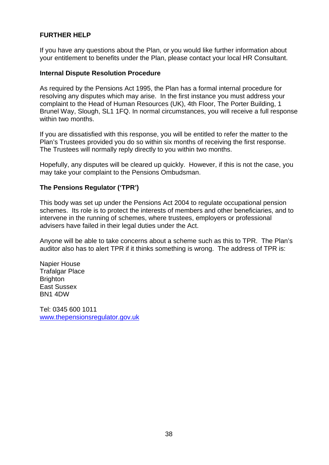# **FURTHER HELP**

If you have any questions about the Plan, or you would like further information about your entitlement to benefits under the Plan, please contact your local HR Consultant.

#### **Internal Dispute Resolution Procedure**

As required by the Pensions Act 1995, the Plan has a formal internal procedure for resolving any disputes which may arise. In the first instance you must address your complaint to the Head of Human Resources (UK), 4th Floor, The Porter Building, 1 Brunel Way, Slough, SL1 1FQ. In normal circumstances, you will receive a full response within two months.

If you are dissatisfied with this response, you will be entitled to refer the matter to the Plan's Trustees provided you do so within six months of receiving the first response. The Trustees will normally reply directly to you within two months.

Hopefully, any disputes will be cleared up quickly. However, if this is not the case, you may take your complaint to the Pensions Ombudsman.

## **The Pensions Regulator ('TPR')**

This body was set up under the Pensions Act 2004 to regulate occupational pension schemes. Its role is to protect the interests of members and other beneficiaries, and to intervene in the running of schemes, where trustees, employers or professional advisers have failed in their legal duties under the Act.

Anyone will be able to take concerns about a scheme such as this to TPR. The Plan's auditor also has to alert TPR if it thinks something is wrong. The address of TPR is:

Napier House Trafalgar Place **Brighton** East Sussex BN1 4DW

Tel: 0345 600 1011 www.thepensionsregulator.gov.uk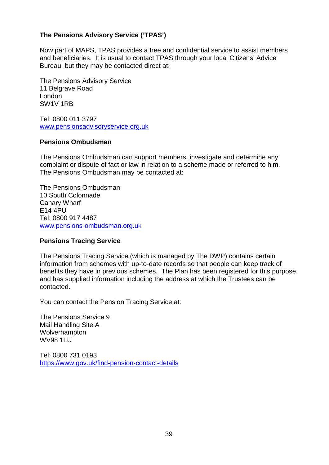# **The Pensions Advisory Service ('TPAS')**

Now part of MAPS, TPAS provides a free and confidential service to assist members and beneficiaries. It is usual to contact TPAS through your local Citizens' Advice Bureau, but they may be contacted direct at:

The Pensions Advisory Service 11 Belgrave Road London SW1V 1RB

Tel: 0800 011 3797 www.pensionsadvisoryservice.org.uk

## **Pensions Ombudsman**

The Pensions Ombudsman can support members, investigate and determine any complaint or dispute of fact or law in relation to a scheme made or referred to him. The Pensions Ombudsman may be contacted at:

The Pensions Ombudsman 10 South Colonnade Canary Wharf E14 4PU Tel: 0800 917 4487 www.pensions-ombudsman.org.uk

## **Pensions Tracing Service**

The Pensions Tracing Service (which is managed by The DWP) contains certain information from schemes with up-to-date records so that people can keep track of benefits they have in previous schemes. The Plan has been registered for this purpose, and has supplied information including the address at which the Trustees can be contacted.

You can contact the Pension Tracing Service at:

The Pensions Service 9 Mail Handling Site A Wolverhampton WV98 1LU

Tel: 0800 731 0193 https://www.gov.uk/find-pension-contact-details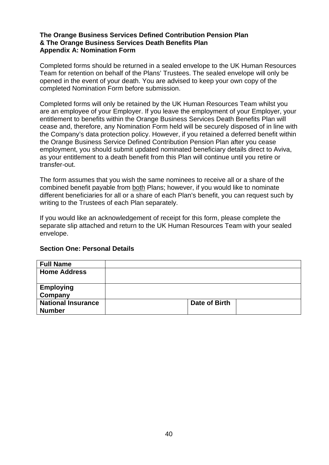## **The Orange Business Services Defined Contribution Pension Plan & The Orange Business Services Death Benefits Plan Appendix A: Nomination Form**

Completed forms should be returned in a sealed envelope to the UK Human Resources Team for retention on behalf of the Plans' Trustees. The sealed envelope will only be opened in the event of your death. You are advised to keep your own copy of the completed Nomination Form before submission.

Completed forms will only be retained by the UK Human Resources Team whilst you are an employee of your Employer. If you leave the employment of your Employer, your entitlement to benefits within the Orange Business Services Death Benefits Plan will cease and, therefore, any Nomination Form held will be securely disposed of in line with the Company's data protection policy. However, if you retained a deferred benefit within the Orange Business Service Defined Contribution Pension Plan after you cease employment, you should submit updated nominated beneficiary details direct to Aviva, as your entitlement to a death benefit from this Plan will continue until you retire or transfer-out.

The form assumes that you wish the same nominees to receive all or a share of the combined benefit payable from both Plans; however, if you would like to nominate different beneficiaries for all or a share of each Plan's benefit, you can request such by writing to the Trustees of each Plan separately.

If you would like an acknowledgement of receipt for this form, please complete the separate slip attached and return to the UK Human Resources Team with your sealed envelope.

|  |  | <b>Section One: Personal Details</b> |  |
|--|--|--------------------------------------|--|
|--|--|--------------------------------------|--|

| <b>Full Name</b>          |               |  |
|---------------------------|---------------|--|
| <b>Home Address</b>       |               |  |
|                           |               |  |
| <b>Employing</b>          |               |  |
| Company                   |               |  |
| <b>National Insurance</b> | Date of Birth |  |
| <b>Number</b>             |               |  |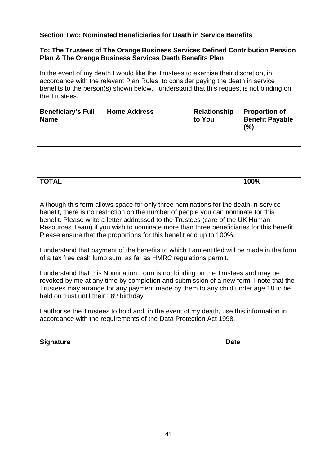# **Section Two: Nominated Beneficiaries for Death in Service Benefits**

## **To: The Trustees of The Orange Business Services Defined Contribution Pension Plan & The Orange Business Services Death Benefits Plan**

In the event of my death I would like the Trustees to exercise their discretion, in accordance with the relevant Plan Rules, to consider paying the death in service benefits to the person(s) shown below. I understand that this request is not binding on the Trustees.

| <b>Beneficiary's Full</b><br><b>Name</b> | <b>Home Address</b> | Relationship<br>to You | <b>Proportion of</b><br><b>Benefit Payable</b><br>(%) |
|------------------------------------------|---------------------|------------------------|-------------------------------------------------------|
|                                          |                     |                        |                                                       |
|                                          |                     |                        |                                                       |
|                                          |                     |                        |                                                       |
| <b>TOTAL</b>                             |                     |                        | 100%                                                  |

Although this form allows space for only three nominations for the death-in-service benefit, there is no restriction on the number of people you can nominate for this benefit. Please write a letter addressed to the Trustees (care of the UK Human Resources Team) if you wish to nominate more than three beneficiaries for this benefit. Please ensure that the proportions for this benefit add up to 100%.

I understand that payment of the benefits to which I am entitled will be made in the form of a tax free cash lump sum, as far as HMRC regulations permit.

I understand that this Nomination Form is not binding on the Trustees and may be revoked by me at any time by completion and submission of a new form. I note that the Trustees may arrange for any payment made by them to any child under age 18 to be held on trust until their 18<sup>th</sup> birthday.

I authorise the Trustees to hold and, in the event of my death, use this information in accordance with the requirements of the Data Protection Act 1998.

| $\mathbf{\sim}$<br><b><i>Channel Allen</i></b><br>.<br>$\overline{ }$<br>. | <i>J</i> uw |
|----------------------------------------------------------------------------|-------------|
|                                                                            |             |